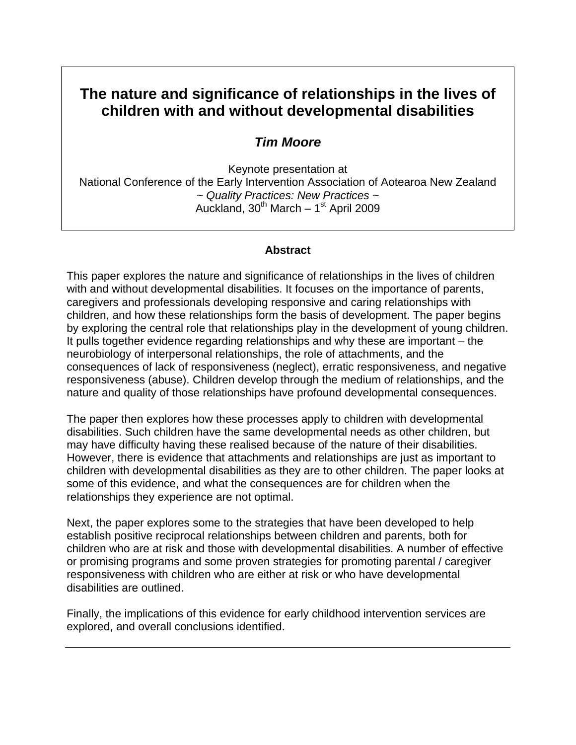# **The nature and significance of relationships in the lives of children with and without developmental disabilities**

# *Tim Moore*

Keynote presentation at National Conference of the Early Intervention Association of Aotearoa New Zealand *~ Quality Practices: New Practices ~*  Auckland,  $30^{th}$  March – 1st April 2009

#### **Abstract**

This paper explores the nature and significance of relationships in the lives of children with and without developmental disabilities. It focuses on the importance of parents, caregivers and professionals developing responsive and caring relationships with children, and how these relationships form the basis of development. The paper begins by exploring the central role that relationships play in the development of young children. It pulls together evidence regarding relationships and why these are important – the neurobiology of interpersonal relationships, the role of attachments, and the consequences of lack of responsiveness (neglect), erratic responsiveness, and negative responsiveness (abuse). Children develop through the medium of relationships, and the nature and quality of those relationships have profound developmental consequences.

The paper then explores how these processes apply to children with developmental disabilities. Such children have the same developmental needs as other children, but may have difficulty having these realised because of the nature of their disabilities. However, there is evidence that attachments and relationships are just as important to children with developmental disabilities as they are to other children. The paper looks at some of this evidence, and what the consequences are for children when the relationships they experience are not optimal.

Next, the paper explores some to the strategies that have been developed to help establish positive reciprocal relationships between children and parents, both for children who are at risk and those with developmental disabilities. A number of effective or promising programs and some proven strategies for promoting parental / caregiver responsiveness with children who are either at risk or who have developmental disabilities are outlined.

Finally, the implications of this evidence for early childhood intervention services are explored, and overall conclusions identified.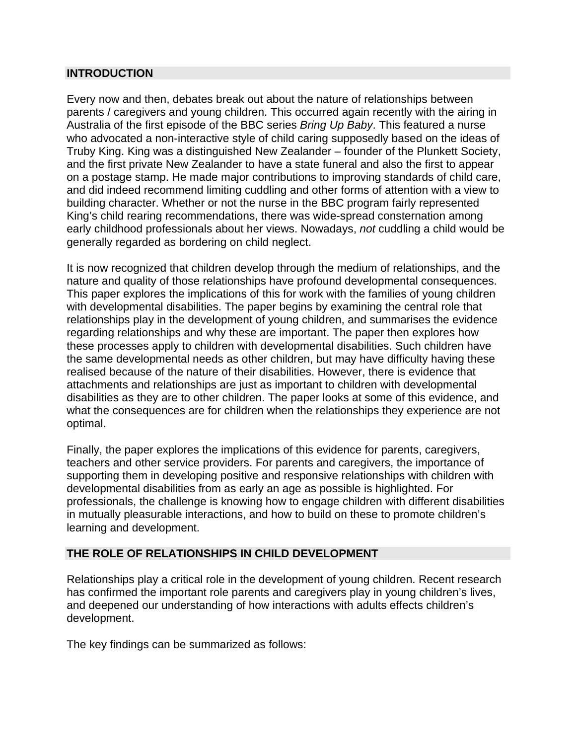#### **INTRODUCTION**

Every now and then, debates break out about the nature of relationships between parents / caregivers and young children. This occurred again recently with the airing in Australia of the first episode of the BBC series *Bring Up Baby*. This featured a nurse who advocated a non-interactive style of child caring supposedly based on the ideas of Truby King. King was a distinguished New Zealander – founder of the Plunkett Society, and the first private New Zealander to have a state funeral and also the first to appear on a postage stamp. He made major contributions to improving standards of child care, and did indeed recommend limiting cuddling and other forms of attention with a view to building character. Whether or not the nurse in the BBC program fairly represented King's child rearing recommendations, there was wide-spread consternation among early childhood professionals about her views. Nowadays, *not* cuddling a child would be generally regarded as bordering on child neglect.

It is now recognized that children develop through the medium of relationships, and the nature and quality of those relationships have profound developmental consequences. This paper explores the implications of this for work with the families of young children with developmental disabilities. The paper begins by examining the central role that relationships play in the development of young children, and summarises the evidence regarding relationships and why these are important. The paper then explores how these processes apply to children with developmental disabilities. Such children have the same developmental needs as other children, but may have difficulty having these realised because of the nature of their disabilities. However, there is evidence that attachments and relationships are just as important to children with developmental disabilities as they are to other children. The paper looks at some of this evidence, and what the consequences are for children when the relationships they experience are not optimal.

Finally, the paper explores the implications of this evidence for parents, caregivers, teachers and other service providers. For parents and caregivers, the importance of supporting them in developing positive and responsive relationships with children with developmental disabilities from as early an age as possible is highlighted. For professionals, the challenge is knowing how to engage children with different disabilities in mutually pleasurable interactions, and how to build on these to promote children's learning and development.

# **THE ROLE OF RELATIONSHIPS IN CHILD DEVELOPMENT**

Relationships play a critical role in the development of young children. Recent research has confirmed the important role parents and caregivers play in young children's lives, and deepened our understanding of how interactions with adults effects children's development.

The key findings can be summarized as follows: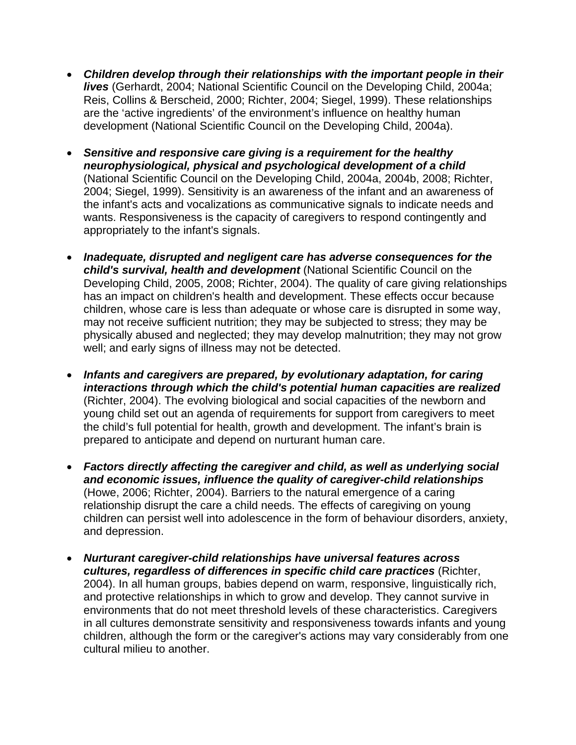- *Children develop through their relationships with the important people in their lives* (Gerhardt, 2004; National Scientific Council on the Developing Child, 2004a; Reis, Collins & Berscheid, 2000; Richter, 2004; Siegel, 1999). These relationships are the 'active ingredients' of the environment's influence on healthy human development (National Scientific Council on the Developing Child, 2004a).
- *Sensitive and responsive care giving is a requirement for the healthy neurophysiological, physical and psychological development of a child*  (National Scientific Council on the Developing Child, 2004a, 2004b, 2008; Richter, 2004; Siegel, 1999). Sensitivity is an awareness of the infant and an awareness of the infant's acts and vocalizations as communicative signals to indicate needs and wants. Responsiveness is the capacity of caregivers to respond contingently and appropriately to the infant's signals.
- *Inadequate, disrupted and negligent care has adverse consequences for the child's survival, health and development* (National Scientific Council on the Developing Child, 2005, 2008; Richter, 2004). The quality of care giving relationships has an impact on children's health and development. These effects occur because children, whose care is less than adequate or whose care is disrupted in some way, may not receive sufficient nutrition; they may be subjected to stress; they may be physically abused and neglected; they may develop malnutrition; they may not grow well; and early signs of illness may not be detected.
- *Infants and caregivers are prepared, by evolutionary adaptation, for caring interactions through which the child's potential human capacities are realized*  (Richter, 2004). The evolving biological and social capacities of the newborn and young child set out an agenda of requirements for support from caregivers to meet the child's full potential for health, growth and development. The infant's brain is prepared to anticipate and depend on nurturant human care.
- *Factors directly affecting the caregiver and child, as well as underlying social and economic issues, influence the quality of caregiver-child relationships*  (Howe, 2006; Richter, 2004). Barriers to the natural emergence of a caring relationship disrupt the care a child needs. The effects of caregiving on young children can persist well into adolescence in the form of behaviour disorders, anxiety, and depression.
- *Nurturant caregiver-child relationships have universal features across cultures, regardless of differences in specific child care practices* (Richter, 2004). In all human groups, babies depend on warm, responsive, linguistically rich, and protective relationships in which to grow and develop. They cannot survive in environments that do not meet threshold levels of these characteristics. Caregivers in all cultures demonstrate sensitivity and responsiveness towards infants and young children, although the form or the caregiver's actions may vary considerably from one cultural milieu to another.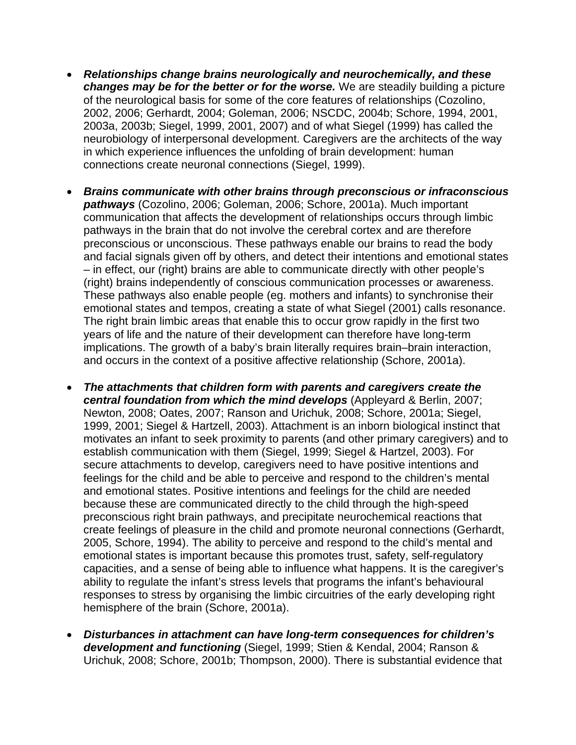- *Relationships change brains neurologically and neurochemically, and these changes may be for the better or for the worse.* We are steadily building a picture of the neurological basis for some of the core features of relationships (Cozolino, 2002, 2006; Gerhardt, 2004; Goleman, 2006; NSCDC, 2004b; Schore, 1994, 2001, 2003a, 2003b; Siegel, 1999, 2001, 2007) and of what Siegel (1999) has called the neurobiology of interpersonal development. Caregivers are the architects of the way in which experience influences the unfolding of brain development: human connections create neuronal connections (Siegel, 1999).
- *Brains communicate with other brains through preconscious or infraconscious pathways* (Cozolino, 2006; Goleman, 2006; Schore, 2001a). Much important communication that affects the development of relationships occurs through limbic pathways in the brain that do not involve the cerebral cortex and are therefore preconscious or unconscious. These pathways enable our brains to read the body and facial signals given off by others, and detect their intentions and emotional states – in effect, our (right) brains are able to communicate directly with other people's (right) brains independently of conscious communication processes or awareness. These pathways also enable people (eg. mothers and infants) to synchronise their emotional states and tempos, creating a state of what Siegel (2001) calls resonance. The right brain limbic areas that enable this to occur grow rapidly in the first two years of life and the nature of their development can therefore have long-term implications. The growth of a baby's brain literally requires brain–brain interaction, and occurs in the context of a positive affective relationship (Schore, 2001a).
- *The attachments that children form with parents and caregivers create the central foundation from which the mind develops* (Appleyard & Berlin, 2007; Newton, 2008; Oates, 2007; Ranson and Urichuk, 2008; Schore, 2001a; Siegel, 1999, 2001; Siegel & Hartzell, 2003). Attachment is an inborn biological instinct that motivates an infant to seek proximity to parents (and other primary caregivers) and to establish communication with them (Siegel, 1999; Siegel & Hartzel, 2003). For secure attachments to develop, caregivers need to have positive intentions and feelings for the child and be able to perceive and respond to the children's mental and emotional states. Positive intentions and feelings for the child are needed because these are communicated directly to the child through the high-speed preconscious right brain pathways, and precipitate neurochemical reactions that create feelings of pleasure in the child and promote neuronal connections (Gerhardt, 2005, Schore, 1994). The ability to perceive and respond to the child's mental and emotional states is important because this promotes trust, safety, self-regulatory capacities, and a sense of being able to influence what happens. It is the caregiver's ability to regulate the infant's stress levels that programs the infant's behavioural responses to stress by organising the limbic circuitries of the early developing right hemisphere of the brain (Schore, 2001a).
- *Disturbances in attachment can have long-term consequences for children's development and functioning* (Siegel, 1999; Stien & Kendal, 2004; Ranson & Urichuk, 2008; Schore, 2001b; Thompson, 2000). There is substantial evidence that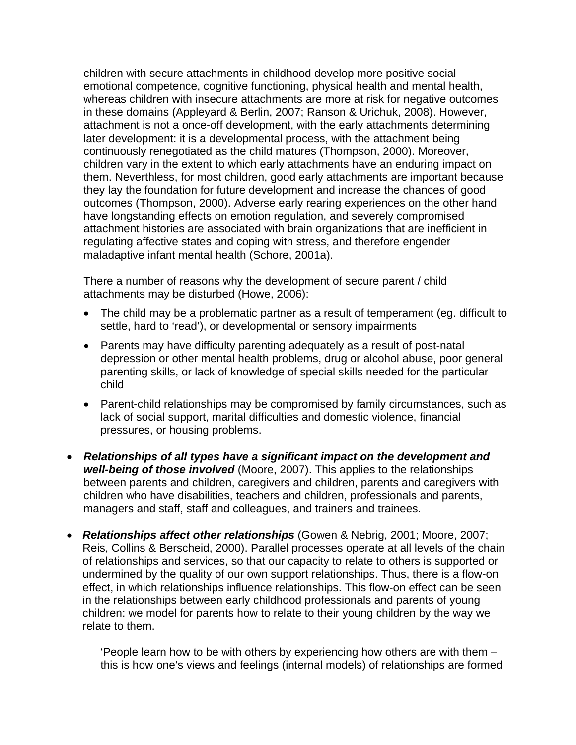children with secure attachments in childhood develop more positive socialemotional competence, cognitive functioning, physical health and mental health, whereas children with insecure attachments are more at risk for negative outcomes in these domains (Appleyard & Berlin, 2007; Ranson & Urichuk, 2008). However, attachment is not a once-off development, with the early attachments determining later development: it is a developmental process, with the attachment being continuously renegotiated as the child matures (Thompson, 2000). Moreover, children vary in the extent to which early attachments have an enduring impact on them. Neverthless, for most children, good early attachments are important because they lay the foundation for future development and increase the chances of good outcomes (Thompson, 2000). Adverse early rearing experiences on the other hand have longstanding effects on emotion regulation, and severely compromised attachment histories are associated with brain organizations that are inefficient in regulating affective states and coping with stress, and therefore engender maladaptive infant mental health (Schore, 2001a).

There a number of reasons why the development of secure parent / child attachments may be disturbed (Howe, 2006):

- The child may be a problematic partner as a result of temperament (eg. difficult to settle, hard to 'read'), or developmental or sensory impairments
- Parents may have difficulty parenting adequately as a result of post-natal depression or other mental health problems, drug or alcohol abuse, poor general parenting skills, or lack of knowledge of special skills needed for the particular child
- Parent-child relationships may be compromised by family circumstances, such as lack of social support, marital difficulties and domestic violence, financial pressures, or housing problems.
- *Relationships of all types have a significant impact on the development and well-being of those involved* (Moore, 2007). This applies to the relationships between parents and children, caregivers and children, parents and caregivers with children who have disabilities, teachers and children, professionals and parents, managers and staff, staff and colleagues, and trainers and trainees.
- *Relationships affect other relationships* (Gowen & Nebrig, 2001; Moore, 2007; Reis, Collins & Berscheid, 2000). Parallel processes operate at all levels of the chain of relationships and services, so that our capacity to relate to others is supported or undermined by the quality of our own support relationships. Thus, there is a flow-on effect, in which relationships influence relationships. This flow-on effect can be seen in the relationships between early childhood professionals and parents of young children: we model for parents how to relate to their young children by the way we relate to them.

'People learn how to be with others by experiencing how others are with them – this is how one's views and feelings (internal models) of relationships are formed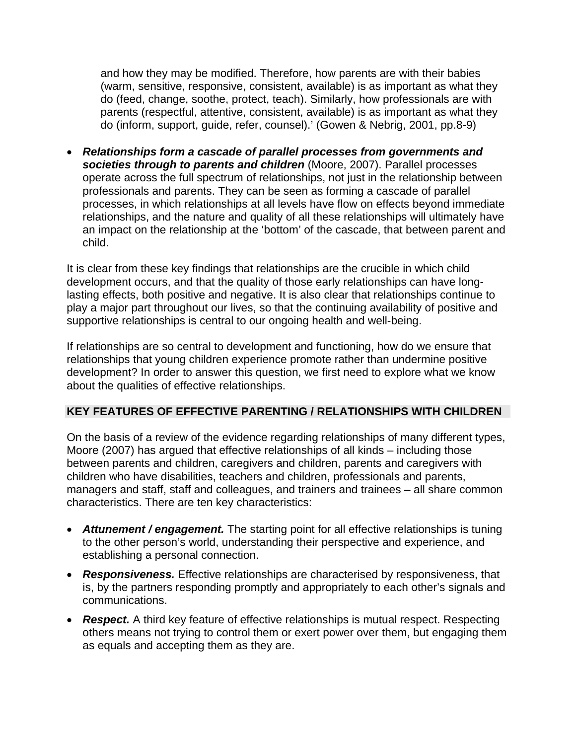and how they may be modified. Therefore, how parents are with their babies (warm, sensitive, responsive, consistent, available) is as important as what they do (feed, change, soothe, protect, teach). Similarly, how professionals are with parents (respectful, attentive, consistent, available) is as important as what they do (inform, support, guide, refer, counsel).' (Gowen & Nebrig, 2001, pp.8-9)

• *Relationships form a cascade of parallel processes from governments and societies through to parents and children* (Moore, 2007). Parallel processes operate across the full spectrum of relationships, not just in the relationship between professionals and parents. They can be seen as forming a cascade of parallel processes, in which relationships at all levels have flow on effects beyond immediate relationships, and the nature and quality of all these relationships will ultimately have an impact on the relationship at the 'bottom' of the cascade, that between parent and child.

It is clear from these key findings that relationships are the crucible in which child development occurs, and that the quality of those early relationships can have longlasting effects, both positive and negative. It is also clear that relationships continue to play a major part throughout our lives, so that the continuing availability of positive and supportive relationships is central to our ongoing health and well-being.

If relationships are so central to development and functioning, how do we ensure that relationships that young children experience promote rather than undermine positive development? In order to answer this question, we first need to explore what we know about the qualities of effective relationships.

# **KEY FEATURES OF EFFECTIVE PARENTING / RELATIONSHIPS WITH CHILDREN**

On the basis of a review of the evidence regarding relationships of many different types, Moore (2007) has argued that effective relationships of all kinds – including those between parents and children, caregivers and children, parents and caregivers with children who have disabilities, teachers and children, professionals and parents, managers and staff, staff and colleagues, and trainers and trainees – all share common characteristics. There are ten key characteristics:

- *Attunement / engagement.* The starting point for all effective relationships is tuning to the other person's world, understanding their perspective and experience, and establishing a personal connection.
- *Responsiveness.* Effective relationships are characterised by responsiveness, that is, by the partners responding promptly and appropriately to each other's signals and communications.
- **Respect.** A third key feature of effective relationships is mutual respect. Respecting others means not trying to control them or exert power over them, but engaging them as equals and accepting them as they are.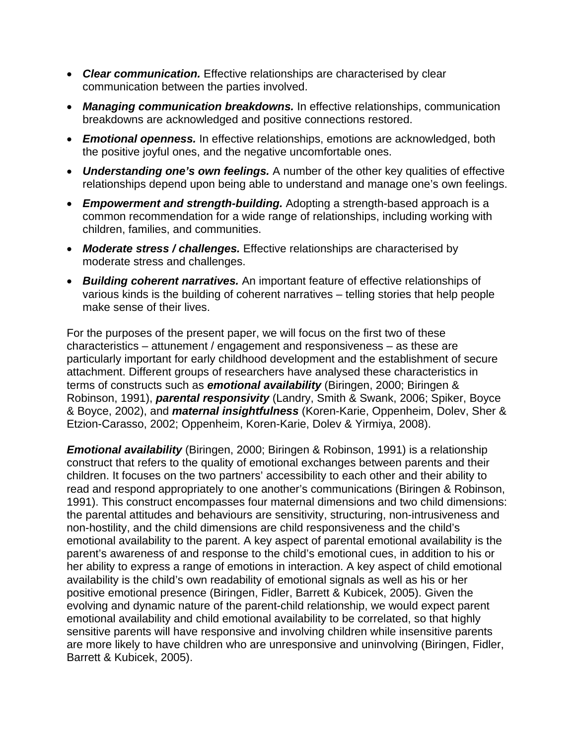- *Clear communication.* Effective relationships are characterised by clear communication between the parties involved.
- *Managing communication breakdowns.* In effective relationships, communication breakdowns are acknowledged and positive connections restored.
- *Emotional openness.* In effective relationships, emotions are acknowledged, both the positive joyful ones, and the negative uncomfortable ones.
- *Understanding one's own feelings.* A number of the other key qualities of effective relationships depend upon being able to understand and manage one's own feelings.
- *Empowerment and strength-building.* Adopting a strength-based approach is a common recommendation for a wide range of relationships, including working with children, families, and communities.
- *Moderate stress / challenges.* Effective relationships are characterised by moderate stress and challenges.
- *Building coherent narratives.* An important feature of effective relationships of various kinds is the building of coherent narratives – telling stories that help people make sense of their lives.

For the purposes of the present paper, we will focus on the first two of these characteristics – attunement / engagement and responsiveness – as these are particularly important for early childhood development and the establishment of secure attachment. Different groups of researchers have analysed these characteristics in terms of constructs such as *emotional availability* (Biringen, 2000; Biringen & Robinson, 1991), *parental responsivity* (Landry, Smith & Swank, 2006; Spiker, Boyce & Boyce, 2002), and *maternal insightfulness* (Koren-Karie, Oppenheim, Dolev, Sher & Etzion-Carasso, 2002; Oppenheim, Koren-Karie, Dolev & Yirmiya, 2008).

*Emotional availability* (Biringen, 2000; Biringen & Robinson, 1991) is a relationship construct that refers to the quality of emotional exchanges between parents and their children. It focuses on the two partners' accessibility to each other and their ability to read and respond appropriately to one another's communications (Biringen & Robinson, 1991). This construct encompasses four maternal dimensions and two child dimensions: the parental attitudes and behaviours are sensitivity, structuring, non-intrusiveness and non-hostility, and the child dimensions are child responsiveness and the child's emotional availability to the parent. A key aspect of parental emotional availability is the parent's awareness of and response to the child's emotional cues, in addition to his or her ability to express a range of emotions in interaction. A key aspect of child emotional availability is the child's own readability of emotional signals as well as his or her positive emotional presence (Biringen, Fidler, Barrett & Kubicek, 2005). Given the evolving and dynamic nature of the parent-child relationship, we would expect parent emotional availability and child emotional availability to be correlated, so that highly sensitive parents will have responsive and involving children while insensitive parents are more likely to have children who are unresponsive and uninvolving (Biringen, Fidler, Barrett & Kubicek, 2005).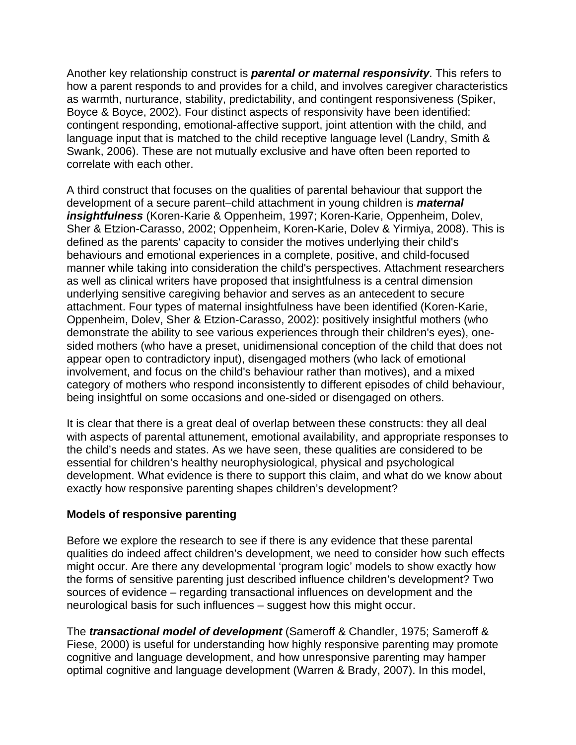Another key relationship construct is *parental or maternal responsivity*. This refers to how a parent responds to and provides for a child, and involves caregiver characteristics as warmth, nurturance, stability, predictability, and contingent responsiveness (Spiker, Boyce & Boyce, 2002). Four distinct aspects of responsivity have been identified: contingent responding, emotional-affective support, joint attention with the child, and language input that is matched to the child receptive language level (Landry, Smith & Swank, 2006). These are not mutually exclusive and have often been reported to correlate with each other.

A third construct that focuses on the qualities of parental behaviour that support the development of a secure parent–child attachment in young children is *maternal insightfulness* (Koren-Karie & Oppenheim, 1997; Koren-Karie, Oppenheim, Dolev, Sher & Etzion-Carasso, 2002; Oppenheim, Koren-Karie, Dolev & Yirmiya, 2008). This is defined as the parents' capacity to consider the motives underlying their child's behaviours and emotional experiences in a complete, positive, and child-focused manner while taking into consideration the child's perspectives. Attachment researchers as well as clinical writers have proposed that insightfulness is a central dimension underlying sensitive caregiving behavior and serves as an antecedent to secure attachment. Four types of maternal insightfulness have been identified (Koren-Karie, Oppenheim, Dolev, Sher & Etzion-Carasso, 2002): positively insightful mothers (who demonstrate the ability to see various experiences through their children's eyes), onesided mothers (who have a preset, unidimensional conception of the child that does not appear open to contradictory input), disengaged mothers (who lack of emotional involvement, and focus on the child's behaviour rather than motives), and a mixed category of mothers who respond inconsistently to different episodes of child behaviour, being insightful on some occasions and one-sided or disengaged on others.

It is clear that there is a great deal of overlap between these constructs: they all deal with aspects of parental attunement, emotional availability, and appropriate responses to the child's needs and states. As we have seen, these qualities are considered to be essential for children's healthy neurophysiological, physical and psychological development. What evidence is there to support this claim, and what do we know about exactly how responsive parenting shapes children's development?

# **Models of responsive parenting**

Before we explore the research to see if there is any evidence that these parental qualities do indeed affect children's development, we need to consider how such effects might occur. Are there any developmental 'program logic' models to show exactly how the forms of sensitive parenting just described influence children's development? Two sources of evidence – regarding transactional influences on development and the neurological basis for such influences – suggest how this might occur.

The *transactional model of development* (Sameroff & Chandler, 1975; Sameroff & Fiese, 2000) is useful for understanding how highly responsive parenting may promote cognitive and language development, and how unresponsive parenting may hamper optimal cognitive and language development (Warren & Brady, 2007). In this model,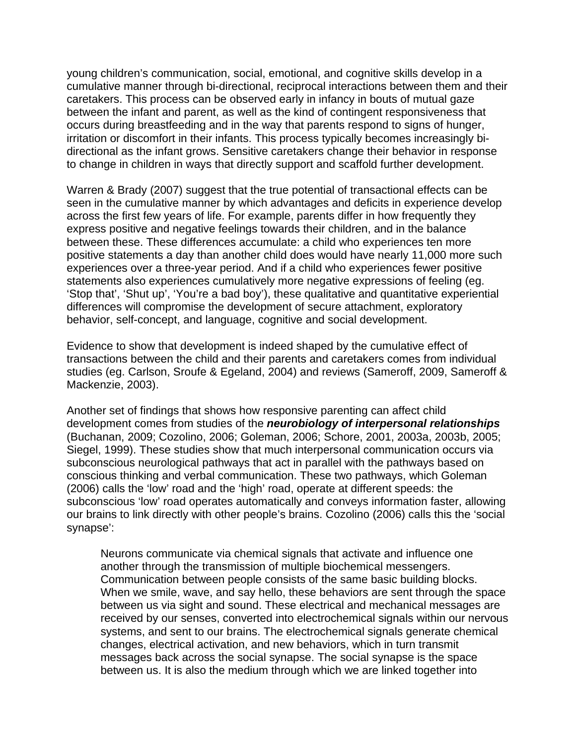young children's communication, social, emotional, and cognitive skills develop in a cumulative manner through bi-directional, reciprocal interactions between them and their caretakers. This process can be observed early in infancy in bouts of mutual gaze between the infant and parent, as well as the kind of contingent responsiveness that occurs during breastfeeding and in the way that parents respond to signs of hunger, irritation or discomfort in their infants. This process typically becomes increasingly bidirectional as the infant grows. Sensitive caretakers change their behavior in response to change in children in ways that directly support and scaffold further development.

Warren & Brady (2007) suggest that the true potential of transactional effects can be seen in the cumulative manner by which advantages and deficits in experience develop across the first few years of life. For example, parents differ in how frequently they express positive and negative feelings towards their children, and in the balance between these. These differences accumulate: a child who experiences ten more positive statements a day than another child does would have nearly 11,000 more such experiences over a three-year period. And if a child who experiences fewer positive statements also experiences cumulatively more negative expressions of feeling (eg. 'Stop that', 'Shut up', 'You're a bad boy'), these qualitative and quantitative experiential differences will compromise the development of secure attachment, exploratory behavior, self-concept, and language, cognitive and social development.

Evidence to show that development is indeed shaped by the cumulative effect of transactions between the child and their parents and caretakers comes from individual studies (eg. Carlson, Sroufe & Egeland, 2004) and reviews (Sameroff, 2009, Sameroff & Mackenzie, 2003).

Another set of findings that shows how responsive parenting can affect child development comes from studies of the *neurobiology of interpersonal relationships*  (Buchanan, 2009; Cozolino, 2006; Goleman, 2006; Schore, 2001, 2003a, 2003b, 2005; Siegel, 1999). These studies show that much interpersonal communication occurs via subconscious neurological pathways that act in parallel with the pathways based on conscious thinking and verbal communication. These two pathways, which Goleman (2006) calls the 'low' road and the 'high' road, operate at different speeds: the subconscious 'low' road operates automatically and conveys information faster, allowing our brains to link directly with other people's brains. Cozolino (2006) calls this the 'social synapse':

Neurons communicate via chemical signals that activate and influence one another through the transmission of multiple biochemical messengers. Communication between people consists of the same basic building blocks. When we smile, wave, and say hello, these behaviors are sent through the space between us via sight and sound. These electrical and mechanical messages are received by our senses, converted into electrochemical signals within our nervous systems, and sent to our brains. The electrochemical signals generate chemical changes, electrical activation, and new behaviors, which in turn transmit messages back across the social synapse. The social synapse is the space between us. It is also the medium through which we are linked together into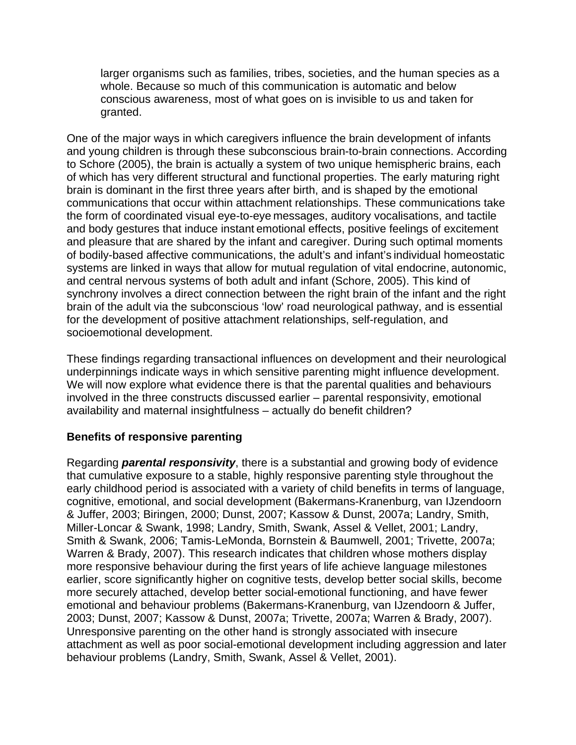larger organisms such as families, tribes, societies, and the human species as a whole. Because so much of this communication is automatic and below conscious awareness, most of what goes on is invisible to us and taken for granted.

One of the major ways in which caregivers influence the brain development of infants and young children is through these subconscious brain-to-brain connections. According to Schore (2005), the brain is actually a system of two unique hemispheric brains, each of which has very different structural and functional properties. The early maturing right brain is dominant in the first three years after birth, and is shaped by the emotional communications that occur within attachment relationships. These communications take the form of coordinated visual eye-to-eye messages, auditory vocalisations, and tactile and body gestures that induce instant emotional effects, positive feelings of excitement and pleasure that are shared by the infant and caregiver. During such optimal moments of bodily-based affective communications, the adult's and infant's individual homeostatic systems are linked in ways that allow for mutual regulation of vital endocrine, autonomic, and central nervous systems of both adult and infant (Schore, 2005). This kind of synchrony involves a direct connection between the right brain of the infant and the right brain of the adult via the subconscious 'low' road neurological pathway, and is essential for the development of positive attachment relationships, self-regulation, and socioemotional development.

These findings regarding transactional influences on development and their neurological underpinnings indicate ways in which sensitive parenting might influence development. We will now explore what evidence there is that the parental qualities and behaviours involved in the three constructs discussed earlier – parental responsivity, emotional availability and maternal insightfulness – actually do benefit children?

# **Benefits of responsive parenting**

Regarding *parental responsivity*, there is a substantial and growing body of evidence that cumulative exposure to a stable, highly responsive parenting style throughout the early childhood period is associated with a variety of child benefits in terms of language, cognitive, emotional, and social development (Bakermans-Kranenburg, van IJzendoorn & Juffer, 2003; Biringen, 2000; Dunst, 2007; Kassow & Dunst, 2007a; Landry, Smith, Miller-Loncar & Swank, 1998; Landry, Smith, Swank, Assel & Vellet, 2001; Landry, Smith & Swank, 2006; Tamis-LeMonda, Bornstein & Baumwell, 2001; Trivette, 2007a; Warren & Brady, 2007). This research indicates that children whose mothers display more responsive behaviour during the first years of life achieve language milestones earlier, score significantly higher on cognitive tests, develop better social skills, become more securely attached, develop better social-emotional functioning, and have fewer emotional and behaviour problems (Bakermans-Kranenburg, van IJzendoorn & Juffer, 2003; Dunst, 2007; Kassow & Dunst, 2007a; Trivette, 2007a; Warren & Brady, 2007). Unresponsive parenting on the other hand is strongly associated with insecure attachment as well as poor social-emotional development including aggression and later behaviour problems (Landry, Smith, Swank, Assel & Vellet, 2001).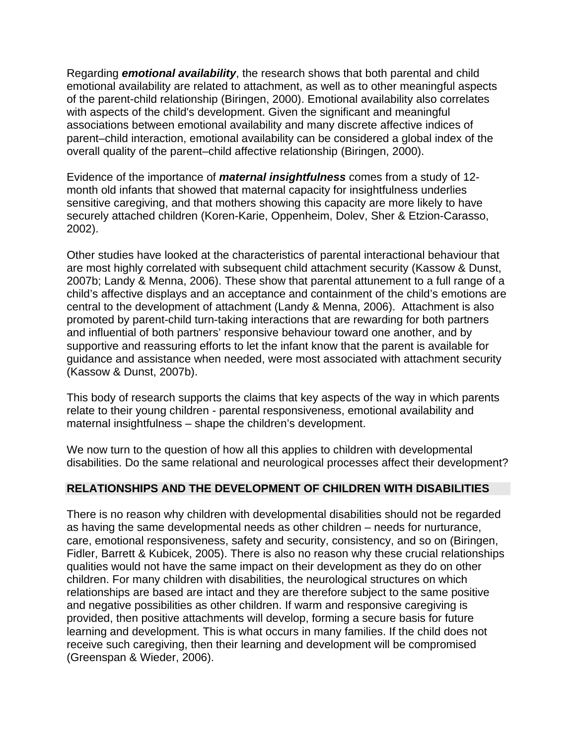Regarding *emotional availability*, the research shows that both parental and child emotional availability are related to attachment, as well as to other meaningful aspects of the parent-child relationship (Biringen, 2000). Emotional availability also correlates with aspects of the child's development. Given the significant and meaningful associations between emotional availability and many discrete affective indices of parent–child interaction, emotional availability can be considered a global index of the overall quality of the parent–child affective relationship (Biringen, 2000).

Evidence of the importance of *maternal insightfulness* comes from a study of 12 month old infants that showed that maternal capacity for insightfulness underlies sensitive caregiving, and that mothers showing this capacity are more likely to have securely attached children (Koren-Karie, Oppenheim, Dolev, Sher & Etzion-Carasso, 2002).

Other studies have looked at the characteristics of parental interactional behaviour that are most highly correlated with subsequent child attachment security (Kassow & Dunst, 2007b; Landy & Menna, 2006). These show that parental attunement to a full range of a child's affective displays and an acceptance and containment of the child's emotions are central to the development of attachment (Landy & Menna, 2006). Attachment is also promoted by parent-child turn-taking interactions that are rewarding for both partners and influential of both partners' responsive behaviour toward one another, and by supportive and reassuring efforts to let the infant know that the parent is available for guidance and assistance when needed, were most associated with attachment security (Kassow & Dunst, 2007b).

This body of research supports the claims that key aspects of the way in which parents relate to their young children *-* parental responsiveness, emotional availability and maternal insightfulness – shape the children's development.

We now turn to the question of how all this applies to children with developmental disabilities. Do the same relational and neurological processes affect their development?

# **RELATIONSHIPS AND THE DEVELOPMENT OF CHILDREN WITH DISABILITIES**

There is no reason why children with developmental disabilities should not be regarded as having the same developmental needs as other children – needs for nurturance, care, emotional responsiveness, safety and security, consistency, and so on (Biringen, Fidler, Barrett & Kubicek, 2005). There is also no reason why these crucial relationships qualities would not have the same impact on their development as they do on other children. For many children with disabilities, the neurological structures on which relationships are based are intact and they are therefore subject to the same positive and negative possibilities as other children. If warm and responsive caregiving is provided, then positive attachments will develop, forming a secure basis for future learning and development. This is what occurs in many families. If the child does not receive such caregiving, then their learning and development will be compromised (Greenspan & Wieder, 2006).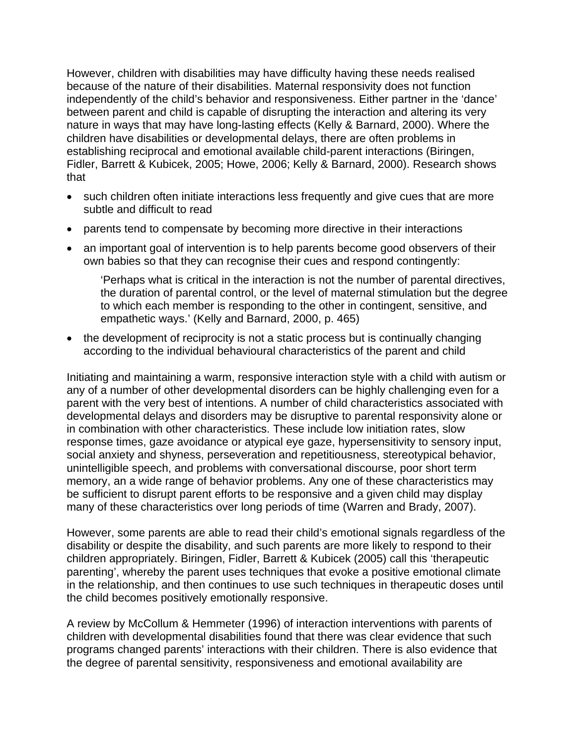However, children with disabilities may have difficulty having these needs realised because of the nature of their disabilities. Maternal responsivity does not function independently of the child's behavior and responsiveness. Either partner in the 'dance' between parent and child is capable of disrupting the interaction and altering its very nature in ways that may have long-lasting effects (Kelly & Barnard, 2000). Where the children have disabilities or developmental delays, there are often problems in establishing reciprocal and emotional available child-parent interactions (Biringen, Fidler, Barrett & Kubicek, 2005; Howe, 2006; Kelly & Barnard, 2000). Research shows that

- such children often initiate interactions less frequently and give cues that are more subtle and difficult to read
- parents tend to compensate by becoming more directive in their interactions
- an important goal of intervention is to help parents become good observers of their own babies so that they can recognise their cues and respond contingently:

'Perhaps what is critical in the interaction is not the number of parental directives, the duration of parental control, or the level of maternal stimulation but the degree to which each member is responding to the other in contingent, sensitive, and empathetic ways.' (Kelly and Barnard, 2000, p. 465)

• the development of reciprocity is not a static process but is continually changing according to the individual behavioural characteristics of the parent and child

Initiating and maintaining a warm, responsive interaction style with a child with autism or any of a number of other developmental disorders can be highly challenging even for a parent with the very best of intentions. A number of child characteristics associated with developmental delays and disorders may be disruptive to parental responsivity alone or in combination with other characteristics. These include low initiation rates, slow response times, gaze avoidance or atypical eye gaze, hypersensitivity to sensory input, social anxiety and shyness, perseveration and repetitiousness, stereotypical behavior, unintelligible speech, and problems with conversational discourse, poor short term memory, an a wide range of behavior problems. Any one of these characteristics may be sufficient to disrupt parent efforts to be responsive and a given child may display many of these characteristics over long periods of time (Warren and Brady, 2007).

However, some parents are able to read their child's emotional signals regardless of the disability or despite the disability, and such parents are more likely to respond to their children appropriately. Biringen, Fidler, Barrett & Kubicek (2005) call this 'therapeutic parenting', whereby the parent uses techniques that evoke a positive emotional climate in the relationship, and then continues to use such techniques in therapeutic doses until the child becomes positively emotionally responsive.

A review by McCollum & Hemmeter (1996) of interaction interventions with parents of children with developmental disabilities found that there was clear evidence that such programs changed parents' interactions with their children. There is also evidence that the degree of parental sensitivity, responsiveness and emotional availability are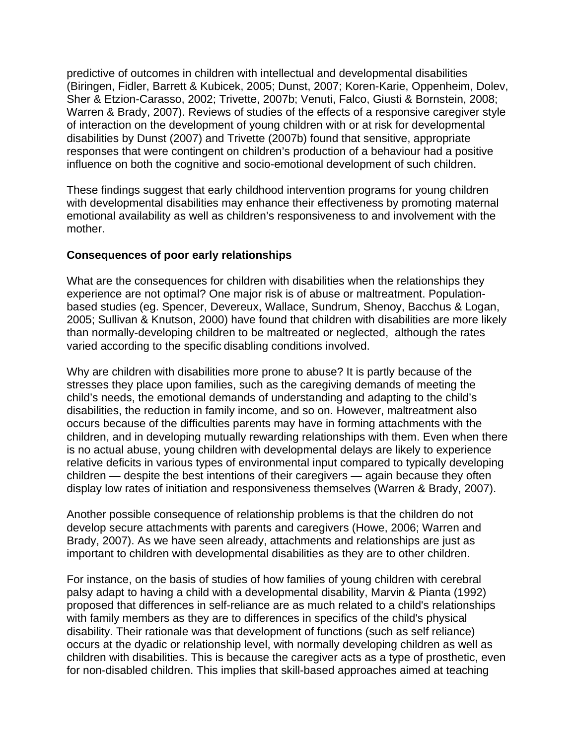predictive of outcomes in children with intellectual and developmental disabilities (Biringen, Fidler, Barrett & Kubicek, 2005; Dunst, 2007; Koren-Karie, Oppenheim, Dolev, Sher & Etzion-Carasso, 2002; Trivette, 2007b; Venuti, Falco, Giusti & Bornstein, 2008; Warren & Brady, 2007). Reviews of studies of the effects of a responsive caregiver style of interaction on the development of young children with or at risk for developmental disabilities by Dunst (2007) and Trivette (2007b) found that sensitive, appropriate responses that were contingent on children's production of a behaviour had a positive influence on both the cognitive and socio-emotional development of such children.

These findings suggest that early childhood intervention programs for young children with developmental disabilities may enhance their effectiveness by promoting maternal emotional availability as well as children's responsiveness to and involvement with the mother.

#### **Consequences of poor early relationships**

What are the consequences for children with disabilities when the relationships they experience are not optimal? One major risk is of abuse or maltreatment. Populationbased studies (eg. Spencer, Devereux, Wallace, Sundrum, Shenoy, Bacchus & Logan, 2005; Sullivan & Knutson, 2000) have found that children with disabilities are more likely than normally-developing children to be maltreated or neglected, although the rates varied according to the specific disabling conditions involved.

Why are children with disabilities more prone to abuse? It is partly because of the stresses they place upon families, such as the caregiving demands of meeting the child's needs, the emotional demands of understanding and adapting to the child's disabilities, the reduction in family income, and so on. However, maltreatment also occurs because of the difficulties parents may have in forming attachments with the children, and in developing mutually rewarding relationships with them. Even when there is no actual abuse, young children with developmental delays are likely to experience relative deficits in various types of environmental input compared to typically developing children — despite the best intentions of their caregivers — again because they often display low rates of initiation and responsiveness themselves (Warren & Brady, 2007).

Another possible consequence of relationship problems is that the children do not develop secure attachments with parents and caregivers (Howe, 2006; Warren and Brady, 2007). As we have seen already, attachments and relationships are just as important to children with developmental disabilities as they are to other children.

For instance, on the basis of studies of how families of young children with cerebral palsy adapt to having a child with a developmental disability, Marvin & Pianta (1992) proposed that differences in self-reliance are as much related to a child's relationships with family members as they are to differences in specifics of the child's physical disability. Their rationale was that development of functions (such as self reliance) occurs at the dyadic or relationship level, with normally developing children as well as children with disabilities. This is because the caregiver acts as a type of prosthetic, even for non-disabled children. This implies that skill-based approaches aimed at teaching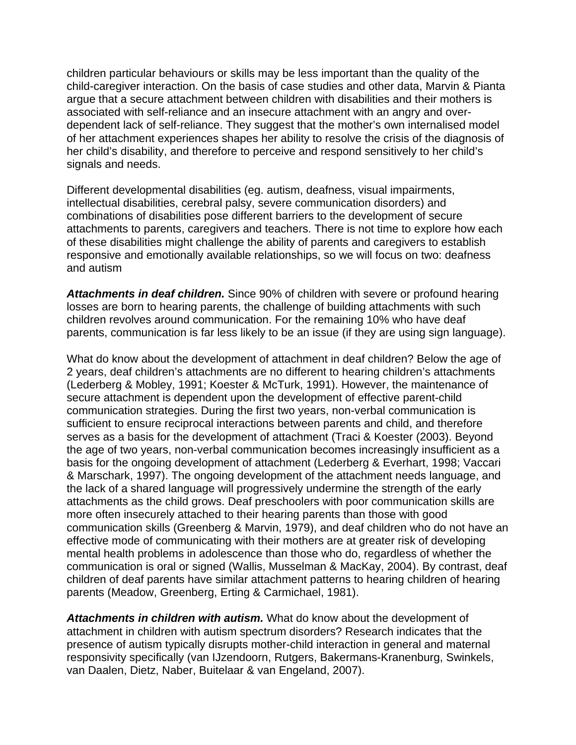children particular behaviours or skills may be less important than the quality of the child-caregiver interaction. On the basis of case studies and other data, Marvin & Pianta argue that a secure attachment between children with disabilities and their mothers is associated with self-reliance and an insecure attachment with an angry and overdependent lack of self-reliance. They suggest that the mother's own internalised model of her attachment experiences shapes her ability to resolve the crisis of the diagnosis of her child's disability, and therefore to perceive and respond sensitively to her child's signals and needs.

Different developmental disabilities (eg. autism, deafness, visual impairments, intellectual disabilities, cerebral palsy, severe communication disorders) and combinations of disabilities pose different barriers to the development of secure attachments to parents, caregivers and teachers. There is not time to explore how each of these disabilities might challenge the ability of parents and caregivers to establish responsive and emotionally available relationships, so we will focus on two: deafness and autism

*Attachments in deaf children.* Since 90% of children with severe or profound hearing losses are born to hearing parents, the challenge of building attachments with such children revolves around communication. For the remaining 10% who have deaf parents, communication is far less likely to be an issue (if they are using sign language).

What do know about the development of attachment in deaf children? Below the age of 2 years, deaf children's attachments are no different to hearing children's attachments (Lederberg & Mobley, 1991; Koester & McTurk, 1991). However, the maintenance of secure attachment is dependent upon the development of effective parent-child communication strategies. During the first two years, non-verbal communication is sufficient to ensure reciprocal interactions between parents and child, and therefore serves as a basis for the development of attachment (Traci & Koester (2003). Beyond the age of two years, non-verbal communication becomes increasingly insufficient as a basis for the ongoing development of attachment (Lederberg & Everhart, 1998; Vaccari & Marschark, 1997). The ongoing development of the attachment needs language, and the lack of a shared language will progressively undermine the strength of the early attachments as the child grows. Deaf preschoolers with poor communication skills are more often insecurely attached to their hearing parents than those with good communication skills (Greenberg & Marvin, 1979), and deaf children who do not have an effective mode of communicating with their mothers are at greater risk of developing mental health problems in adolescence than those who do, regardless of whether the communication is oral or signed (Wallis, Musselman & MacKay, 2004). By contrast, deaf children of deaf parents have similar attachment patterns to hearing children of hearing parents (Meadow, Greenberg, Erting & Carmichael, 1981).

*Attachments in children with autism.* What do know about the development of attachment in children with autism spectrum disorders? Research indicates that the presence of autism typically disrupts mother-child interaction in general and maternal responsivity specifically (van IJzendoorn, Rutgers, Bakermans-Kranenburg, Swinkels, van Daalen, Dietz, Naber, Buitelaar & van Engeland, 2007).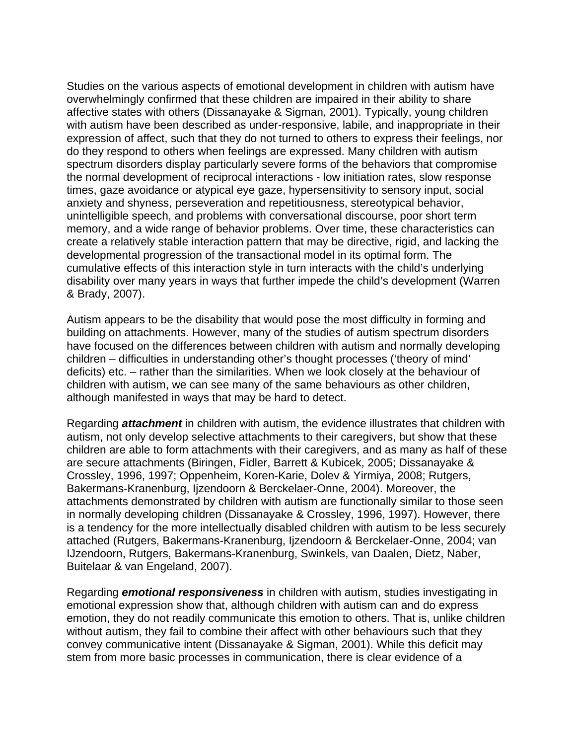Studies on the various aspects of emotional development in children with autism have overwhelmingly confirmed that these children are impaired in their ability to share affective states with others (Dissanayake & Sigman, 2001). Typically, young children with autism have been described as under-responsive, labile, and inappropriate in their expression of affect, such that they do not turned to others to express their feelings, nor do they respond to others when feelings are expressed. Many children with autism spectrum disorders display particularly severe forms of the behaviors that compromise the normal development of reciprocal interactions - low initiation rates, slow response times, gaze avoidance or atypical eye gaze, hypersensitivity to sensory input, social anxiety and shyness, perseveration and repetitiousness, stereotypical behavior, unintelligible speech, and problems with conversational discourse, poor short term memory, and a wide range of behavior problems. Over time, these characteristics can create a relatively stable interaction pattern that may be directive, rigid, and lacking the developmental progression of the transactional model in its optimal form. The cumulative effects of this interaction style in turn interacts with the child's underlying disability over many years in ways that further impede the child's development (Warren & Brady, 2007).

Autism appears to be the disability that would pose the most difficulty in forming and building on attachments. However, many of the studies of autism spectrum disorders have focused on the differences between children with autism and normally developing children – difficulties in understanding other's thought processes ('theory of mind' deficits) etc. – rather than the similarities. When we look closely at the behaviour of children with autism, we can see many of the same behaviours as other children, although manifested in ways that may be hard to detect.

Regarding *attachment* in children with autism, the evidence illustrates that children with autism, not only develop selective attachments to their caregivers, but show that these children are able to form attachments with their caregivers, and as many as half of these are secure attachments (Biringen, Fidler, Barrett & Kubicek, 2005; Dissanayake & Crossley, 1996, 1997; Oppenheim, Koren-Karie, Dolev & Yirmiya, 2008; Rutgers, Bakermans-Kranenburg, Ijzendoorn & Berckelaer-Onne, 2004). Moreover, the attachments demonstrated by children with autism are functionally similar to those seen in normally developing children (Dissanayake & Crossley, 1996, 1997). However, there is a tendency for the more intellectually disabled children with autism to be less securely attached (Rutgers, Bakermans-Kranenburg, Ijzendoorn & Berckelaer-Onne, 2004; van IJzendoorn, Rutgers, Bakermans-Kranenburg, Swinkels, van Daalen, Dietz, Naber, Buitelaar & van Engeland, 2007).

Regarding *emotional responsiveness* in children with autism, studies investigating in emotional expression show that, although children with autism can and do express emotion, they do not readily communicate this emotion to others. That is, unlike children without autism, they fail to combine their affect with other behaviours such that they convey communicative intent (Dissanayake & Sigman, 2001). While this deficit may stem from more basic processes in communication, there is clear evidence of a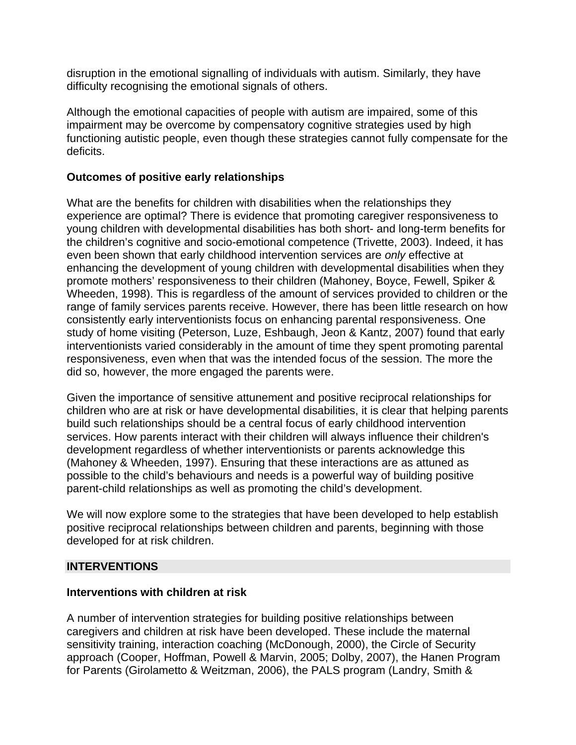disruption in the emotional signalling of individuals with autism. Similarly, they have difficulty recognising the emotional signals of others.

Although the emotional capacities of people with autism are impaired, some of this impairment may be overcome by compensatory cognitive strategies used by high functioning autistic people, even though these strategies cannot fully compensate for the deficits.

# **Outcomes of positive early relationships**

What are the benefits for children with disabilities when the relationships they experience are optimal? There is evidence that promoting caregiver responsiveness to young children with developmental disabilities has both short- and long-term benefits for the children's cognitive and socio-emotional competence (Trivette, 2003). Indeed, it has even been shown that early childhood intervention services are *only* effective at enhancing the development of young children with developmental disabilities when they promote mothers' responsiveness to their children (Mahoney, Boyce, Fewell, Spiker & Wheeden, 1998). This is regardless of the amount of services provided to children or the range of family services parents receive. However, there has been little research on how consistently early interventionists focus on enhancing parental responsiveness. One study of home visiting (Peterson, Luze, Eshbaugh, Jeon & Kantz, 2007) found that early interventionists varied considerably in the amount of time they spent promoting parental responsiveness, even when that was the intended focus of the session. The more the did so, however, the more engaged the parents were.

Given the importance of sensitive attunement and positive reciprocal relationships for children who are at risk or have developmental disabilities, it is clear that helping parents build such relationships should be a central focus of early childhood intervention services. How parents interact with their children will always influence their children's development regardless of whether interventionists or parents acknowledge this (Mahoney & Wheeden, 1997). Ensuring that these interactions are as attuned as possible to the child's behaviours and needs is a powerful way of building positive parent-child relationships as well as promoting the child's development.

We will now explore some to the strategies that have been developed to help establish positive reciprocal relationships between children and parents, beginning with those developed for at risk children.

#### **INTERVENTIONS**

#### **Interventions with children at risk**

A number of intervention strategies for building positive relationships between caregivers and children at risk have been developed. These include the maternal sensitivity training, interaction coaching (McDonough, 2000), the Circle of Security approach (Cooper, Hoffman, Powell & Marvin, 2005; Dolby, 2007), the Hanen Program for Parents (Girolametto & Weitzman, 2006), the PALS program (Landry, Smith &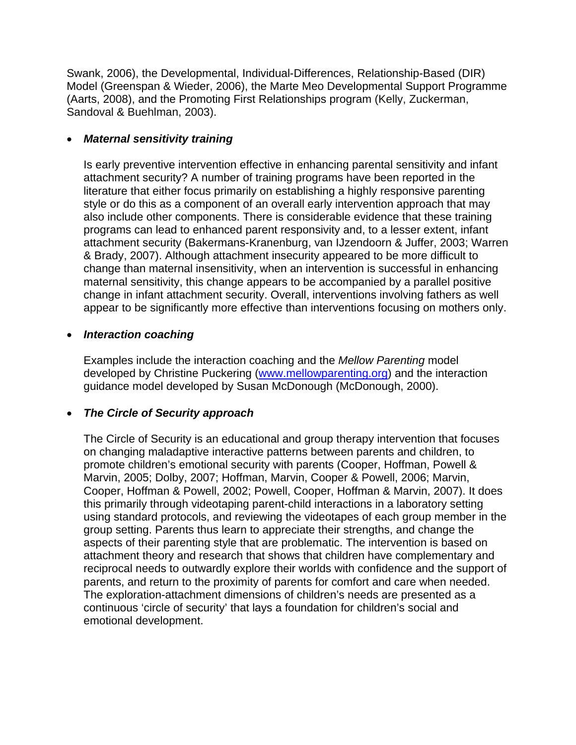Swank, 2006), the Developmental, Individual-Differences, Relationship-Based (DIR) Model (Greenspan & Wieder, 2006), the Marte Meo Developmental Support Programme (Aarts, 2008), and the Promoting First Relationships program (Kelly, Zuckerman, Sandoval & Buehlman, 2003).

#### • *Maternal sensitivity training*

Is early preventive intervention effective in enhancing parental sensitivity and infant attachment security? A number of training programs have been reported in the literature that either focus primarily on establishing a highly responsive parenting style or do this as a component of an overall early intervention approach that may also include other components. There is considerable evidence that these training programs can lead to enhanced parent responsivity and, to a lesser extent, infant attachment security (Bakermans-Kranenburg, van IJzendoorn & Juffer, 2003; Warren & Brady, 2007). Although attachment insecurity appeared to be more difficult to change than maternal insensitivity, when an intervention is successful in enhancing maternal sensitivity, this change appears to be accompanied by a parallel positive change in infant attachment security. Overall, interventions involving fathers as well appear to be significantly more effective than interventions focusing on mothers only.

#### • *Interaction coaching*

Examples include the interaction coaching and the *Mellow Parenting* model developed by Christine Puckering [\(www.mellowparenting.org](http://www.mellowparenting.org/)) and the interaction guidance model developed by Susan McDonough (McDonough, 2000).

# • *The Circle of Security approach*

The Circle of Security is an educational and group therapy intervention that focuses on changing maladaptive interactive patterns between parents and children, to promote children's emotional security with parents (Cooper, Hoffman, Powell & Marvin, 2005; Dolby, 2007; Hoffman, Marvin, Cooper & Powell, 2006; Marvin, Cooper, Hoffman & Powell, 2002; Powell, Cooper, Hoffman & Marvin, 2007). It does this primarily through videotaping parent-child interactions in a laboratory setting using standard protocols, and reviewing the videotapes of each group member in the group setting. Parents thus learn to appreciate their strengths, and change the aspects of their parenting style that are problematic. The intervention is based on attachment theory and research that shows that children have complementary and reciprocal needs to outwardly explore their worlds with confidence and the support of parents, and return to the proximity of parents for comfort and care when needed. The exploration-attachment dimensions of children's needs are presented as a continuous 'circle of security' that lays a foundation for children's social and emotional development.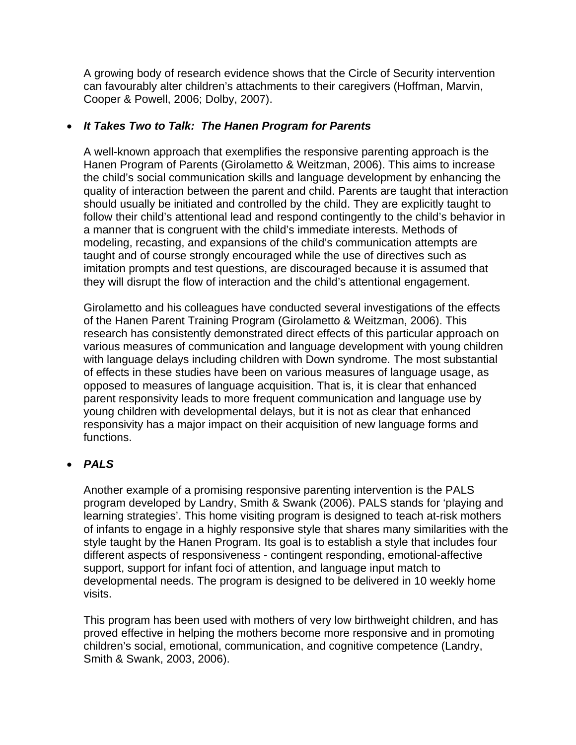A growing body of research evidence shows that the Circle of Security intervention can favourably alter children's attachments to their caregivers (Hoffman, Marvin, Cooper & Powell, 2006; Dolby, 2007).

#### • *It Takes Two to Talk: The Hanen Program for Parents*

A well-known approach that exemplifies the responsive parenting approach is the Hanen Program of Parents (Girolametto & Weitzman, 2006). This aims to increase the child's social communication skills and language development by enhancing the quality of interaction between the parent and child. Parents are taught that interaction should usually be initiated and controlled by the child. They are explicitly taught to follow their child's attentional lead and respond contingently to the child's behavior in a manner that is congruent with the child's immediate interests. Methods of modeling, recasting, and expansions of the child's communication attempts are taught and of course strongly encouraged while the use of directives such as imitation prompts and test questions, are discouraged because it is assumed that they will disrupt the flow of interaction and the child's attentional engagement.

Girolametto and his colleagues have conducted several investigations of the effects of the Hanen Parent Training Program (Girolametto & Weitzman, 2006). This research has consistently demonstrated direct effects of this particular approach on various measures of communication and language development with young children with language delays including children with Down syndrome. The most substantial of effects in these studies have been on various measures of language usage, as opposed to measures of language acquisition. That is, it is clear that enhanced parent responsivity leads to more frequent communication and language use by young children with developmental delays, but it is not as clear that enhanced responsivity has a major impact on their acquisition of new language forms and functions.

# • *PALS*

Another example of a promising responsive parenting intervention is the PALS program developed by Landry, Smith & Swank (2006). PALS stands for 'playing and learning strategies'. This home visiting program is designed to teach at-risk mothers of infants to engage in a highly responsive style that shares many similarities with the style taught by the Hanen Program. Its goal is to establish a style that includes four different aspects of responsiveness - contingent responding, emotional-affective support, support for infant foci of attention, and language input match to developmental needs. The program is designed to be delivered in 10 weekly home visits.

This program has been used with mothers of very low birthweight children, and has proved effective in helping the mothers become more responsive and in promoting children's social, emotional, communication, and cognitive competence (Landry, Smith & Swank, 2003, 2006).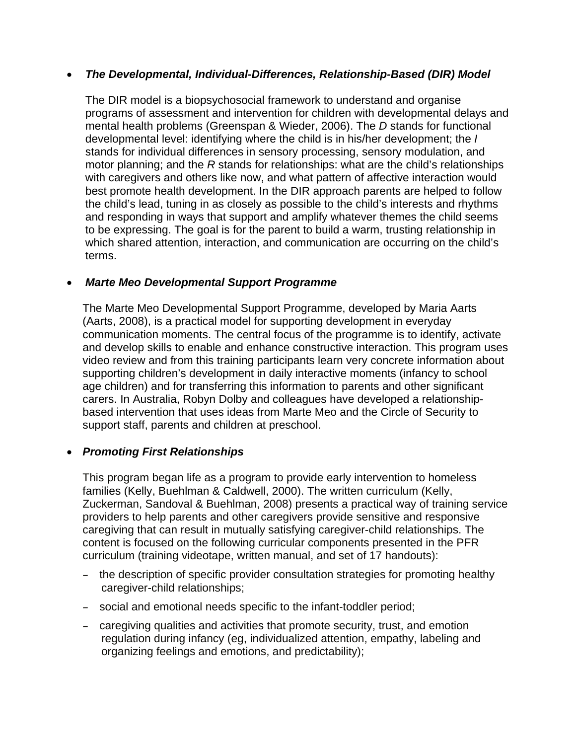#### • *The Developmental, Individual-Differences, Relationship-Based (DIR) Model*

The DIR model is a biopsychosocial framework to understand and organise programs of assessment and intervention for children with developmental delays and mental health problems (Greenspan & Wieder, 2006). The *D* stands for functional developmental level: identifying where the child is in his/her development; the *I* stands for individual differences in sensory processing, sensory modulation, and motor planning; and the *R* stands for relationships: what are the child's relationships with caregivers and others like now, and what pattern of affective interaction would best promote health development. In the DIR approach parents are helped to follow the child's lead, tuning in as closely as possible to the child's interests and rhythms and responding in ways that support and amplify whatever themes the child seems to be expressing. The goal is for the parent to build a warm, trusting relationship in which shared attention, interaction, and communication are occurring on the child's terms.

#### • *Marte Meo Developmental Support Programme*

The Marte Meo Developmental Support Programme, developed by Maria Aarts (Aarts, 2008), is a practical model for supporting development in everyday communication moments. The central focus of the programme is to identify, activate and develop skills to enable and enhance constructive interaction. This program uses video review and from this training participants learn very concrete information about supporting children's development in daily interactive moments (infancy to school age children) and for transferring this information to parents and other significant carers. In Australia, Robyn Dolby and colleagues have developed a relationshipbased intervention that uses ideas from Marte Meo and the Circle of Security to support staff, parents and children at preschool.

#### • *Promoting First Relationships*

This program began life as a program to provide early intervention to homeless families (Kelly, Buehlman & Caldwell, 2000). The written curriculum (Kelly, Zuckerman, Sandoval & Buehlman, 2008) presents a practical way of training service providers to help parents and other caregivers provide sensitive and responsive caregiving that can result in mutually satisfying caregiver-child relationships. The content is focused on the following curricular components presented in the PFR curriculum (training videotape, written manual, and set of 17 handouts):

- the description of specific provider consultation strategies for promoting healthy caregiver-child relationships;
- social and emotional needs specific to the infant-toddler period;
- caregiving qualities and activities that promote security, trust, and emotion regulation during infancy (eg, individualized attention, empathy, labeling and organizing feelings and emotions, and predictability);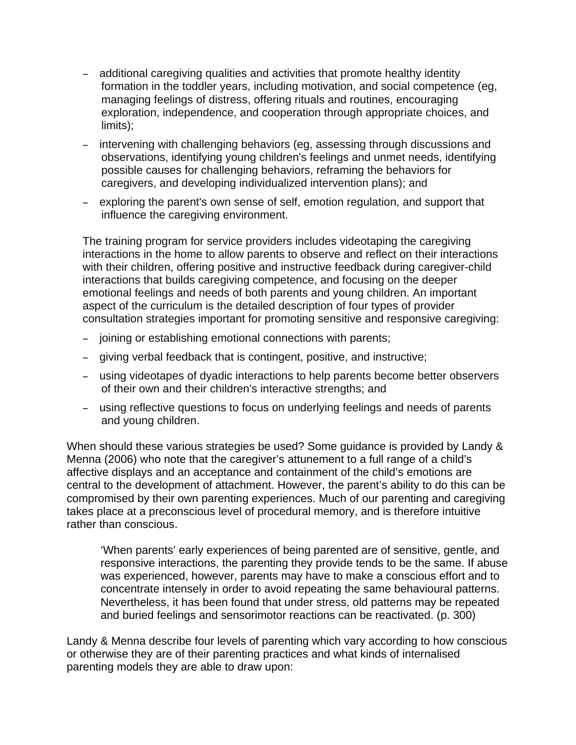- additional caregiving qualities and activities that promote healthy identity formation in the toddler years, including motivation, and social competence (eg, managing feelings of distress, offering rituals and routines, encouraging exploration, independence, and cooperation through appropriate choices, and limits);
- intervening with challenging behaviors (eg, assessing through discussions and observations, identifying young children's feelings and unmet needs, identifying possible causes for challenging behaviors, reframing the behaviors for caregivers, and developing individualized intervention plans); and
- exploring the parent's own sense of self, emotion regulation, and support that influence the caregiving environment.

The training program for service providers includes videotaping the caregiving interactions in the home to allow parents to observe and reflect on their interactions with their children, offering positive and instructive feedback during caregiver-child interactions that builds caregiving competence, and focusing on the deeper emotional feelings and needs of both parents and young children. An important aspect of the curriculum is the detailed description of four types of provider consultation strategies important for promoting sensitive and responsive caregiving:

- joining or establishing emotional connections with parents;
- giving verbal feedback that is contingent, positive, and instructive;
- using videotapes of dyadic interactions to help parents become better observers of their own and their children's interactive strengths; and
- using reflective questions to focus on underlying feelings and needs of parents and young children.

When should these various strategies be used? Some guidance is provided by Landy & Menna (2006) who note that the caregiver's attunement to a full range of a child's affective displays and an acceptance and containment of the child's emotions are central to the development of attachment. However, the parent's ability to do this can be compromised by their own parenting experiences. Much of our parenting and caregiving takes place at a preconscious level of procedural memory, and is therefore intuitive rather than conscious.

'When parents' early experiences of being parented are of sensitive, gentle, and responsive interactions, the parenting they provide tends to be the same. If abuse was experienced, however, parents may have to make a conscious effort and to concentrate intensely in order to avoid repeating the same behavioural patterns. Nevertheless, it has been found that under stress, old patterns may be repeated and buried feelings and sensorimotor reactions can be reactivated. (p. 300)

Landy & Menna describe four levels of parenting which vary according to how conscious or otherwise they are of their parenting practices and what kinds of internalised parenting models they are able to draw upon: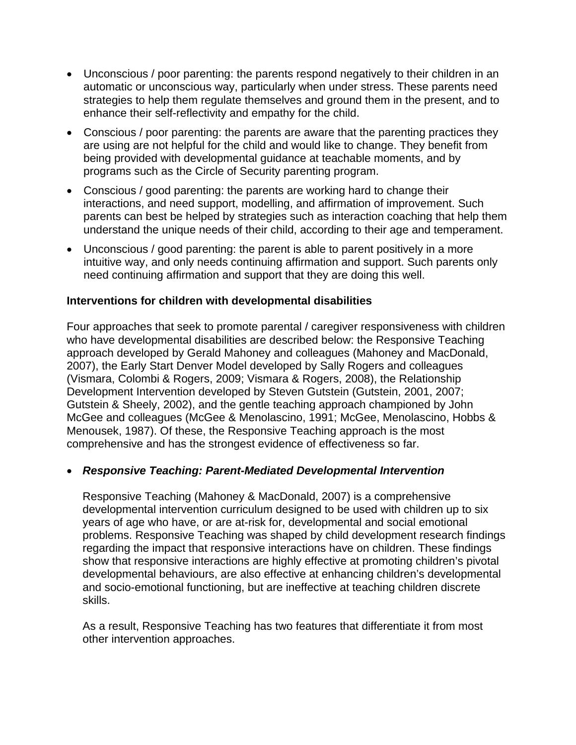- Unconscious / poor parenting: the parents respond negatively to their children in an automatic or unconscious way, particularly when under stress. These parents need strategies to help them regulate themselves and ground them in the present, and to enhance their self-reflectivity and empathy for the child.
- Conscious / poor parenting: the parents are aware that the parenting practices they are using are not helpful for the child and would like to change. They benefit from being provided with developmental guidance at teachable moments, and by programs such as the Circle of Security parenting program.
- Conscious / good parenting: the parents are working hard to change their interactions, and need support, modelling, and affirmation of improvement. Such parents can best be helped by strategies such as interaction coaching that help them understand the unique needs of their child, according to their age and temperament.
- Unconscious / good parenting: the parent is able to parent positively in a more intuitive way, and only needs continuing affirmation and support. Such parents only need continuing affirmation and support that they are doing this well.

#### **Interventions for children with developmental disabilities**

Four approaches that seek to promote parental / caregiver responsiveness with children who have developmental disabilities are described below: the Responsive Teaching approach developed by Gerald Mahoney and colleagues (Mahoney and MacDonald, 2007), the Early Start Denver Model developed by Sally Rogers and colleagues (Vismara, Colombi & Rogers, 2009; Vismara & Rogers, 2008), the Relationship Development Intervention developed by Steven Gutstein (Gutstein, 2001, 2007; Gutstein & Sheely, 2002), and the gentle teaching approach championed by John McGee and colleagues (McGee & Menolascino, 1991; McGee, Menolascino, Hobbs & Menousek, 1987). Of these, the Responsive Teaching approach is the most comprehensive and has the strongest evidence of effectiveness so far.

#### • *Responsive Teaching: Parent-Mediated Developmental Intervention*

Responsive Teaching (Mahoney & MacDonald, 2007) is a comprehensive developmental intervention curriculum designed to be used with children up to six years of age who have, or are at-risk for, developmental and social emotional problems. Responsive Teaching was shaped by child development research findings regarding the impact that responsive interactions have on children. These findings show that responsive interactions are highly effective at promoting children's pivotal developmental behaviours, are also effective at enhancing children's developmental and socio-emotional functioning, but are ineffective at teaching children discrete skills.

As a result, Responsive Teaching has two features that differentiate it from most other intervention approaches.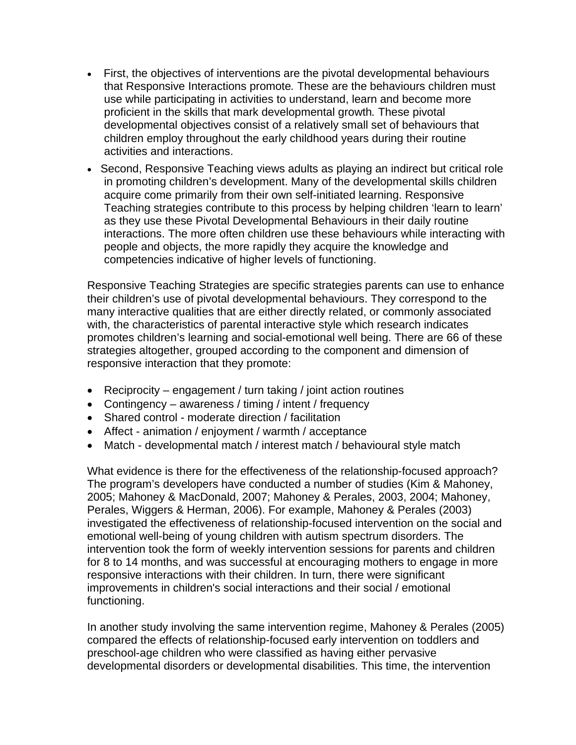- First, the objectives of interventions are the pivotal developmental behaviours that Responsive Interactions promote*.* These are the behaviours children must use while participating in activities to understand, learn and become more proficient in the skills that mark developmental growth*.* These pivotal developmental objectives consist of a relatively small set of behaviours that children employ throughout the early childhood years during their routine activities and interactions.
- Second, Responsive Teaching views adults as playing an indirect but critical role in promoting children's development. Many of the developmental skills children acquire come primarily from their own self-initiated learning. Responsive Teaching strategies contribute to this process by helping children 'learn to learn' as they use these Pivotal Developmental Behaviours in their daily routine interactions. The more often children use these behaviours while interacting with people and objects, the more rapidly they acquire the knowledge and competencies indicative of higher levels of functioning.

Responsive Teaching Strategies are specific strategies parents can use to enhance their children's use of pivotal developmental behaviours. They correspond to the many interactive qualities that are either directly related, or commonly associated with, the characteristics of parental interactive style which research indicates promotes children's learning and social-emotional well being. There are 66 of these strategies altogether, grouped according to the component and dimension of responsive interaction that they promote:

- Reciprocity engagement / turn taking / joint action routines
- Contingency awareness / timing / intent / frequency
- Shared control moderate direction / facilitation
- Affect animation / enjoyment / warmth / acceptance
- Match developmental match / interest match / behavioural style match

What evidence is there for the effectiveness of the relationship-focused approach? The program's developers have conducted a number of studies (Kim & Mahoney, 2005; Mahoney & MacDonald, 2007; Mahoney & Perales, 2003, 2004; Mahoney, Perales, Wiggers & Herman, 2006). For example, Mahoney & Perales (2003) investigated the effectiveness of relationship-focused intervention on the social and emotional well-being of young children with autism spectrum disorders. The intervention took the form of weekly intervention sessions for parents and children for 8 to 14 months, and was successful at encouraging mothers to engage in more responsive interactions with their children. In turn, there were significant improvements in children's social interactions and their social / emotional functioning.

In another study involving the same intervention regime, Mahoney & Perales (2005) compared the effects of relationship-focused early intervention on toddlers and preschool-age children who were classified as having either pervasive developmental disorders or developmental disabilities. This time, the intervention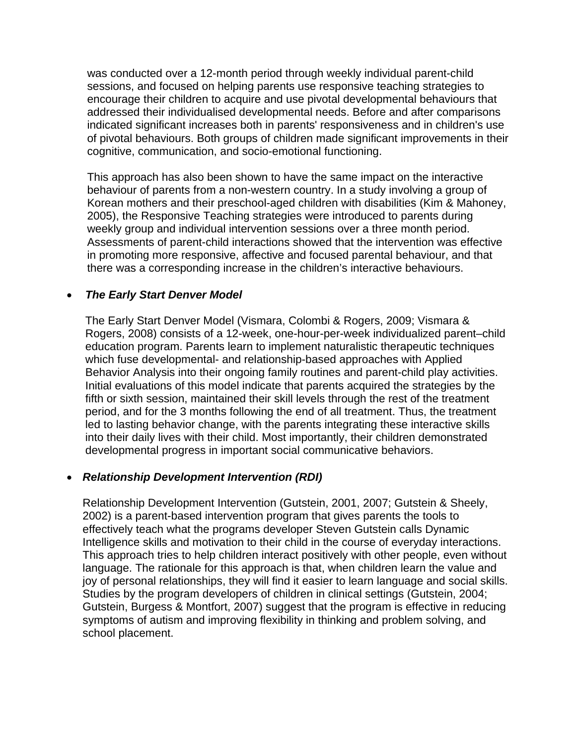was conducted over a 12-month period through weekly individual parent-child sessions, and focused on helping parents use responsive teaching strategies to encourage their children to acquire and use pivotal developmental behaviours that addressed their individualised developmental needs. Before and after comparisons indicated significant increases both in parents' responsiveness and in children's use of pivotal behaviours. Both groups of children made significant improvements in their cognitive, communication, and socio-emotional functioning.

This approach has also been shown to have the same impact on the interactive behaviour of parents from a non-western country. In a study involving a group of Korean mothers and their preschool-aged children with disabilities (Kim & Mahoney, 2005), the Responsive Teaching strategies were introduced to parents during weekly group and individual intervention sessions over a three month period. Assessments of parent-child interactions showed that the intervention was effective in promoting more responsive, affective and focused parental behaviour, and that there was a corresponding increase in the children's interactive behaviours.

# • *The Early Start Denver Model*

The Early Start Denver Model (Vismara, Colombi & Rogers, 2009; Vismara & Rogers, 2008) consists of a 12-week, one-hour-per-week individualized parent–child education program. Parents learn to implement naturalistic therapeutic techniques which fuse developmental- and relationship-based approaches with Applied Behavior Analysis into their ongoing family routines and parent-child play activities. Initial evaluations of this model indicate that parents acquired the strategies by the fifth or sixth session, maintained their skill levels through the rest of the treatment period, and for the 3 months following the end of all treatment. Thus, the treatment led to lasting behavior change, with the parents integrating these interactive skills into their daily lives with their child. Most importantly, their children demonstrated developmental progress in important social communicative behaviors.

#### • *Relationship Development Intervention (RDI)*

Relationship Development Intervention (Gutstein, 2001, 2007; Gutstein & Sheely, 2002) is a parent-based intervention program that gives parents the tools to effectively teach what the programs developer Steven Gutstein calls Dynamic Intelligence skills and motivation to their child in the course of everyday interactions. This approach tries to help children interact positively with other people, even without language. The rationale for this approach is that, when children learn the value and joy of personal relationships, they will find it easier to learn language and social skills. Studies by the program developers of children in clinical settings (Gutstein, 2004; Gutstein, Burgess & Montfort, 2007) suggest that the program is effective in reducing symptoms of autism and improving flexibility in thinking and problem solving, and school placement.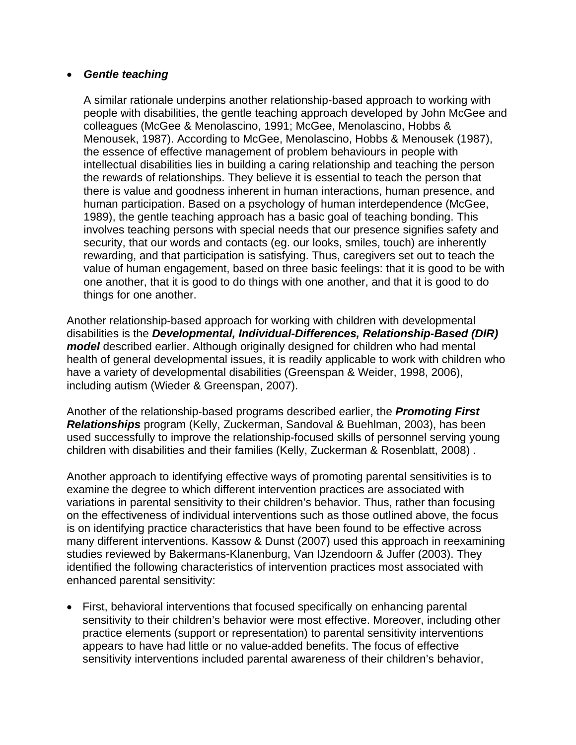#### • *Gentle teaching*

A similar rationale underpins another relationship-based approach to working with people with disabilities, the gentle teaching approach developed by John McGee and colleagues (McGee & Menolascino, 1991; McGee, Menolascino, Hobbs & Menousek, 1987). According to McGee, Menolascino, Hobbs & Menousek (1987), the essence of effective management of problem behaviours in people with intellectual disabilities lies in building a caring relationship and teaching the person the rewards of relationships. They believe it is essential to teach the person that there is value and goodness inherent in human interactions, human presence, and human participation. Based on a psychology of human interdependence (McGee, 1989), the gentle teaching approach has a basic goal of teaching bonding. This involves teaching persons with special needs that our presence signifies safety and security, that our words and contacts (eg. our looks, smiles, touch) are inherently rewarding, and that participation is satisfying. Thus, caregivers set out to teach the value of human engagement, based on three basic feelings: that it is good to be with one another, that it is good to do things with one another, and that it is good to do things for one another.

Another relationship-based approach for working with children with developmental disabilities is the *Developmental, Individual-Differences, Relationship-Based (DIR) model* described earlier. Although originally designed for children who had mental health of general developmental issues, it is readily applicable to work with children who have a variety of developmental disabilities (Greenspan & Weider, 1998, 2006), including autism (Wieder & Greenspan, 2007).

Another of the relationship-based programs described earlier, the *Promoting First Relationships* program (Kelly, Zuckerman, Sandoval & Buehlman, 2003), has been used successfully to improve the relationship-focused skills of personnel serving young children with disabilities and their families (Kelly, Zuckerman & Rosenblatt, 2008) .

Another approach to identifying effective ways of promoting parental sensitivities is to examine the degree to which different intervention practices are associated with variations in parental sensitivity to their children's behavior. Thus, rather than focusing on the effectiveness of individual interventions such as those outlined above, the focus is on identifying practice characteristics that have been found to be effective across many different interventions. Kassow & Dunst (2007) used this approach in reexamining studies reviewed by Bakermans-Klanenburg, Van IJzendoorn & Juffer (2003). They identified the following characteristics of intervention practices most associated with enhanced parental sensitivity:

• First, behavioral interventions that focused specifically on enhancing parental sensitivity to their children's behavior were most effective. Moreover, including other practice elements (support or representation) to parental sensitivity interventions appears to have had little or no value-added benefits. The focus of effective sensitivity interventions included parental awareness of their children's behavior,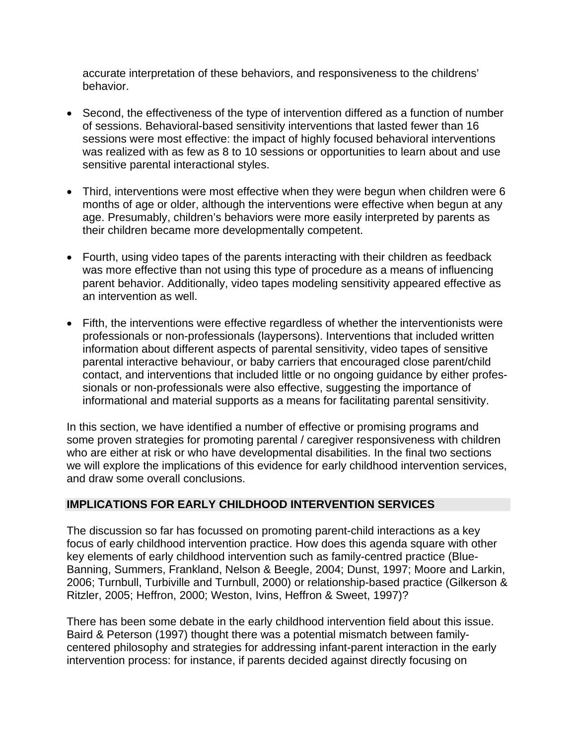accurate interpretation of these behaviors, and responsiveness to the childrens' behavior.

- Second, the effectiveness of the type of intervention differed as a function of number of sessions. Behavioral-based sensitivity interventions that lasted fewer than 16 sessions were most effective: the impact of highly focused behavioral interventions was realized with as few as 8 to 10 sessions or opportunities to learn about and use sensitive parental interactional styles.
- Third, interventions were most effective when they were begun when children were 6 months of age or older, although the interventions were effective when begun at any age. Presumably, children's behaviors were more easily interpreted by parents as their children became more developmentally competent.
- Fourth, using video tapes of the parents interacting with their children as feedback was more effective than not using this type of procedure as a means of influencing parent behavior. Additionally, video tapes modeling sensitivity appeared effective as an intervention as well.
- Fifth, the interventions were effective regardless of whether the interventionists were professionals or non-professionals (laypersons). Interventions that included written information about different aspects of parental sensitivity, video tapes of sensitive parental interactive behaviour, or baby carriers that encouraged close parent/child contact, and interventions that included little or no ongoing guidance by either professionals or non-professionals were also effective, suggesting the importance of informational and material supports as a means for facilitating parental sensitivity.

In this section, we have identified a number of effective or promising programs and some proven strategies for promoting parental / caregiver responsiveness with children who are either at risk or who have developmental disabilities. In the final two sections we will explore the implications of this evidence for early childhood intervention services, and draw some overall conclusions.

# **IMPLICATIONS FOR EARLY CHILDHOOD INTERVENTION SERVICES**

The discussion so far has focussed on promoting parent-child interactions as a key focus of early childhood intervention practice. How does this agenda square with other key elements of early childhood intervention such as family-centred practice (Blue-Banning, Summers, Frankland, Nelson & Beegle, 2004; Dunst, 1997; Moore and Larkin, 2006; Turnbull, Turbiville and Turnbull, 2000) or relationship-based practice (Gilkerson & Ritzler, 2005; Heffron, 2000; Weston, Ivins, Heffron & Sweet, 1997)?

There has been some debate in the early childhood intervention field about this issue. Baird & Peterson (1997) thought there was a potential mismatch between familycentered philosophy and strategies for addressing infant-parent interaction in the early intervention process: for instance, if parents decided against directly focusing on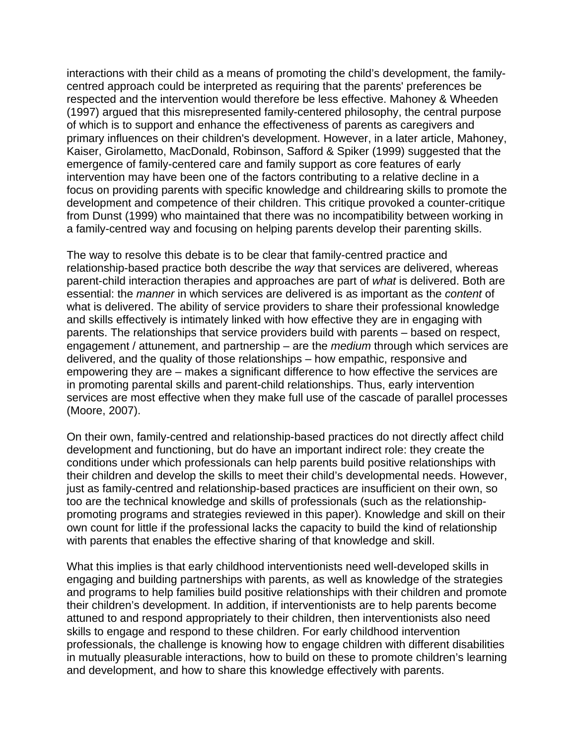interactions with their child as a means of promoting the child's development, the familycentred approach could be interpreted as requiring that the parents' preferences be respected and the intervention would therefore be less effective. Mahoney & Wheeden (1997) argued that this misrepresented family-centered philosophy, the central purpose of which is to support and enhance the effectiveness of parents as caregivers and primary influences on their children's development. However, in a later article, Mahoney, Kaiser, Girolametto, MacDonald, Robinson, Safford & Spiker (1999) suggested that the emergence of family-centered care and family support as core features of early intervention may have been one of the factors contributing to a relative decline in a focus on providing parents with specific knowledge and childrearing skills to promote the development and competence of their children. This critique provoked a counter-critique from Dunst (1999) who maintained that there was no incompatibility between working in a family-centred way and focusing on helping parents develop their parenting skills.

The way to resolve this debate is to be clear that family-centred practice and relationship-based practice both describe the *way* that services are delivered, whereas parent-child interaction therapies and approaches are part of *what* is delivered. Both are essential: the *manner* in which services are delivered is as important as the *content* of what is delivered. The ability of service providers to share their professional knowledge and skills effectively is intimately linked with how effective they are in engaging with parents. The relationships that service providers build with parents – based on respect, engagement / attunement, and partnership – are the *medium* through which services are delivered, and the quality of those relationships – how empathic, responsive and empowering they are – makes a significant difference to how effective the services are in promoting parental skills and parent-child relationships. Thus, early intervention services are most effective when they make full use of the cascade of parallel processes (Moore, 2007).

On their own, family-centred and relationship-based practices do not directly affect child development and functioning, but do have an important indirect role: they create the conditions under which professionals can help parents build positive relationships with their children and develop the skills to meet their child's developmental needs. However, just as family-centred and relationship-based practices are insufficient on their own, so too are the technical knowledge and skills of professionals (such as the relationshippromoting programs and strategies reviewed in this paper). Knowledge and skill on their own count for little if the professional lacks the capacity to build the kind of relationship with parents that enables the effective sharing of that knowledge and skill.

What this implies is that early childhood interventionists need well-developed skills in engaging and building partnerships with parents, as well as knowledge of the strategies and programs to help families build positive relationships with their children and promote their children's development. In addition, if interventionists are to help parents become attuned to and respond appropriately to their children, then interventionists also need skills to engage and respond to these children. For early childhood intervention professionals, the challenge is knowing how to engage children with different disabilities in mutually pleasurable interactions, how to build on these to promote children's learning and development, and how to share this knowledge effectively with parents.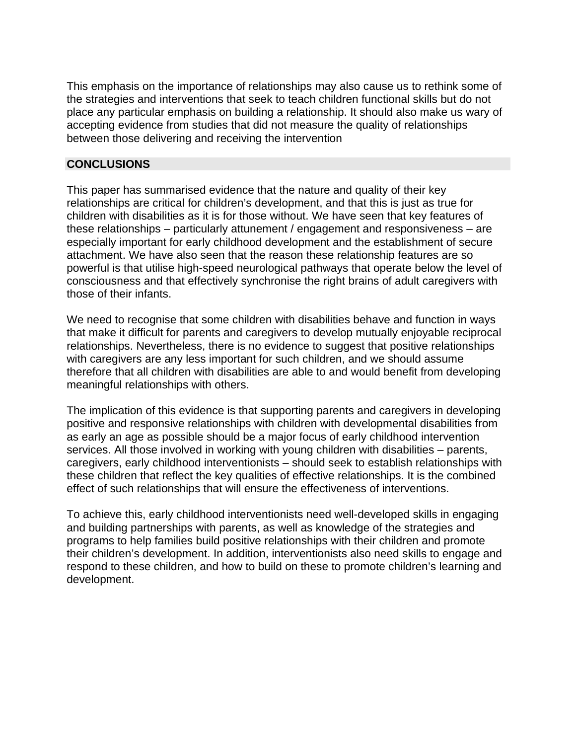This emphasis on the importance of relationships may also cause us to rethink some of the strategies and interventions that seek to teach children functional skills but do not place any particular emphasis on building a relationship. It should also make us wary of accepting evidence from studies that did not measure the quality of relationships between those delivering and receiving the intervention

#### **CONCLUSIONS**

This paper has summarised evidence that the nature and quality of their key relationships are critical for children's development, and that this is just as true for children with disabilities as it is for those without. We have seen that key features of these relationships – particularly attunement / engagement and responsiveness – are especially important for early childhood development and the establishment of secure attachment. We have also seen that the reason these relationship features are so powerful is that utilise high-speed neurological pathways that operate below the level of consciousness and that effectively synchronise the right brains of adult caregivers with those of their infants.

We need to recognise that some children with disabilities behave and function in ways that make it difficult for parents and caregivers to develop mutually enjoyable reciprocal relationships. Nevertheless, there is no evidence to suggest that positive relationships with caregivers are any less important for such children, and we should assume therefore that all children with disabilities are able to and would benefit from developing meaningful relationships with others.

The implication of this evidence is that supporting parents and caregivers in developing positive and responsive relationships with children with developmental disabilities from as early an age as possible should be a major focus of early childhood intervention services. All those involved in working with young children with disabilities – parents, caregivers, early childhood interventionists – should seek to establish relationships with these children that reflect the key qualities of effective relationships. It is the combined effect of such relationships that will ensure the effectiveness of interventions.

To achieve this, early childhood interventionists need well-developed skills in engaging and building partnerships with parents, as well as knowledge of the strategies and programs to help families build positive relationships with their children and promote their children's development. In addition, interventionists also need skills to engage and respond to these children, and how to build on these to promote children's learning and development.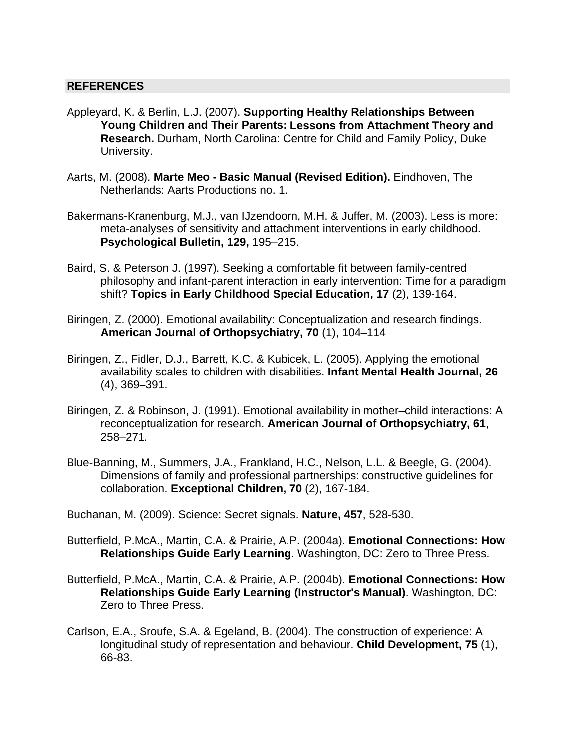#### **REFERENCES**

- Appleyard, K. & Berlin, L.J. (2007). **Supporting Healthy Relationships Between Young Children and Their Parents: Lessons from Attachment Theory and Research.** Durham, North Carolina: Centre for Child and Family Policy, Duke University.
- Aarts, M. (2008). **Marte Meo Basic Manual (Revised Edition).** Eindhoven, The Netherlands: Aarts Productions no. 1.
- Bakermans-Kranenburg, M.J., van IJzendoorn, M.H. & Juffer, M. (2003). Less is more: meta-analyses of sensitivity and attachment interventions in early childhood. **Psychological Bulletin, 129,** 195–215.
- Baird, S. & Peterson J. (1997). Seeking a comfortable fit between family-centred philosophy and infant-parent interaction in early intervention: Time for a paradigm shift? **Topics in Early Childhood Special Education, 17** (2), 139-164.
- Biringen, Z. (2000). Emotional availability: Conceptualization and research findings. **American Journal of Orthopsychiatry, 70** (1), 104–114
- Biringen, Z., Fidler, D.J., Barrett, K.C. & Kubicek, L. (2005). Applying the emotional availability scales to children with disabilities. **Infant Mental Health Journal, 26** (4), 369–391.
- Biringen, Z. & Robinson, J. (1991). Emotional availability in mother–child interactions: A reconceptualization for research. **American Journal of Orthopsychiatry, 61**, 258–271.
- Blue-Banning, M., Summers, J.A., Frankland, H.C., Nelson, L.L. & Beegle, G. (2004). Dimensions of family and professional partnerships: constructive guidelines for collaboration. **Exceptional Children, 70** (2), 167-184.

Buchanan, M. (2009). Science: Secret signals. **Nature, 457**, 528-530.

- Butterfield, P.McA., Martin, C.A. & Prairie, A.P. (2004a). **Emotional Connections: How Relationships Guide Early Learning**. Washington, DC: Zero to Three Press.
- Butterfield, P.McA., Martin, C.A. & Prairie, A.P. (2004b). **Emotional Connections: How Relationships Guide Early Learning (Instructor's Manual)**. Washington, DC: Zero to Three Press.
- Carlson, E.A., Sroufe, S.A. & Egeland, B. (2004). The construction of experience: A longitudinal study of representation and behaviour. **Child Development, 75** (1), 66-83.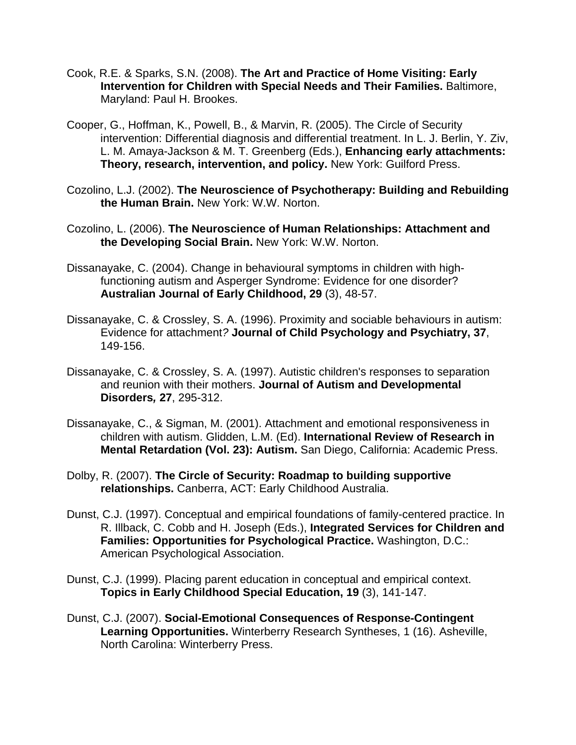- Cook, R.E. & Sparks, S.N. (2008). **The Art and Practice of Home Visiting: Early Intervention for Children with Special Needs and Their Families.** Baltimore, Maryland: Paul H. Brookes.
- Cooper, G., Hoffman, K., Powell, B., & Marvin, R. (2005). The Circle of Security intervention: Differential diagnosis and differential treatment. In L. J. Berlin, Y. Ziv, L. M. Amaya-Jackson & M. T. Greenberg (Eds.), **Enhancing early attachments: Theory, research, intervention, and policy.** New York: Guilford Press.
- Cozolino, L.J. (2002). **The Neuroscience of Psychotherapy: Building and Rebuilding the Human Brain.** New York: W.W. Norton.
- Cozolino, L. (2006). **The Neuroscience of Human Relationships: Attachment and the Developing Social Brain.** New York: W.W. Norton.
- Dissanayake, C. (2004). Change in behavioural symptoms in children with highfunctioning autism and Asperger Syndrome: Evidence for one disorder? **Australian Journal of Early Childhood, 29** (3), 48-57.
- Dissanayake, C. & Crossley, S. A. (1996). Proximity and sociable behaviours in autism: Evidence for attachment*?* **Journal of Child Psychology and Psychiatry, 37**, 149-156.
- Dissanayake, C. & Crossley, S. A. (1997). Autistic children's responses to separation and reunion with their mothers. **Journal of Autism and Developmental Disorders***,* **27**, 295-312.
- Dissanayake, C., & Sigman, M. (2001). Attachment and emotional responsiveness in children with autism. Glidden, L.M. (Ed). **International Review of Research in Mental Retardation (Vol. 23): Autism.** San Diego, California: Academic Press.
- Dolby, R. (2007). **The Circle of Security: Roadmap to building supportive relationships.** Canberra, ACT: Early Childhood Australia.
- Dunst, C.J. (1997). Conceptual and empirical foundations of family-centered practice. In R. Illback, C. Cobb and H. Joseph (Eds.), **Integrated Services for Children and Families: Opportunities for Psychological Practice.** Washington, D.C.: American Psychological Association.
- Dunst, C.J. (1999). Placing parent education in conceptual and empirical context. **Topics in Early Childhood Special Education, 19** (3), 141-147.
- Dunst, C.J. (2007). **Social-Emotional Consequences of Response-Contingent Learning Opportunities.** Winterberry Research Syntheses, 1 (16). Asheville, North Carolina: Winterberry Press.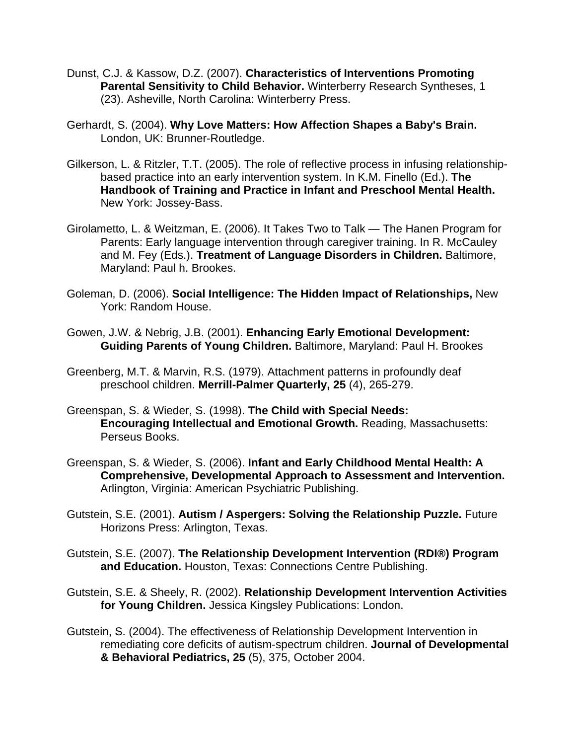- Dunst, C.J. & Kassow, D.Z. (2007). **Characteristics of Interventions Promoting Parental Sensitivity to Child Behavior.** Winterberry Research Syntheses, 1 (23). Asheville, North Carolina: Winterberry Press.
- Gerhardt, S. (2004). **Why Love Matters: How Affection Shapes a Baby's Brain.** London, UK: Brunner-Routledge.
- Gilkerson, L. & Ritzler, T.T. (2005). The role of reflective process in infusing relationshipbased practice into an early intervention system. In K.M. Finello (Ed.). **The Handbook of Training and Practice in Infant and Preschool Mental Health.** New York: Jossey-Bass.
- Girolametto, L. & Weitzman, E. (2006). It Takes Two to Talk The Hanen Program for Parents: Early language intervention through caregiver training. In R. McCauley and M. Fey (Eds.). **Treatment of Language Disorders in Children.** Baltimore, Maryland: Paul h. Brookes.
- Goleman, D. (2006). **Social Intelligence: The Hidden Impact of Relationships,** New York: Random House.
- Gowen, J.W. & Nebrig, J.B. (2001). **Enhancing Early Emotional Development: Guiding Parents of Young Children.** Baltimore, Maryland: Paul H. Brookes
- Greenberg, M.T. & Marvin, R.S. (1979). Attachment patterns in profoundly deaf preschool children. **Merrill-Palmer Quarterly, 25** (4), 265-279.
- Greenspan, S. & Wieder, S. (1998). **The Child with Special Needs: Encouraging Intellectual and Emotional Growth.** Reading, Massachusetts: Perseus Books.
- Greenspan, S. & Wieder, S. (2006). **Infant and Early Childhood Mental Health: A Comprehensive, Developmental Approach to Assessment and Intervention.** Arlington, Virginia: American Psychiatric Publishing.
- Gutstein, S.E. (2001). **Autism / Aspergers: Solving the Relationship Puzzle.** Future Horizons Press: Arlington, Texas.
- Gutstein, S.E. (2007). **The Relationship Development Intervention (RDI®) Program and Education.** Houston, Texas: Connections Centre Publishing.
- Gutstein, S.E. & Sheely, R. (2002). **Relationship Development Intervention Activities for Young Children.** Jessica Kingsley Publications: London.
- Gutstein, S. (2004). The effectiveness of Relationship Development Intervention in remediating core deficits of autism-spectrum children. **Journal of Developmental & Behavioral Pediatrics, 25** (5), 375, October 2004.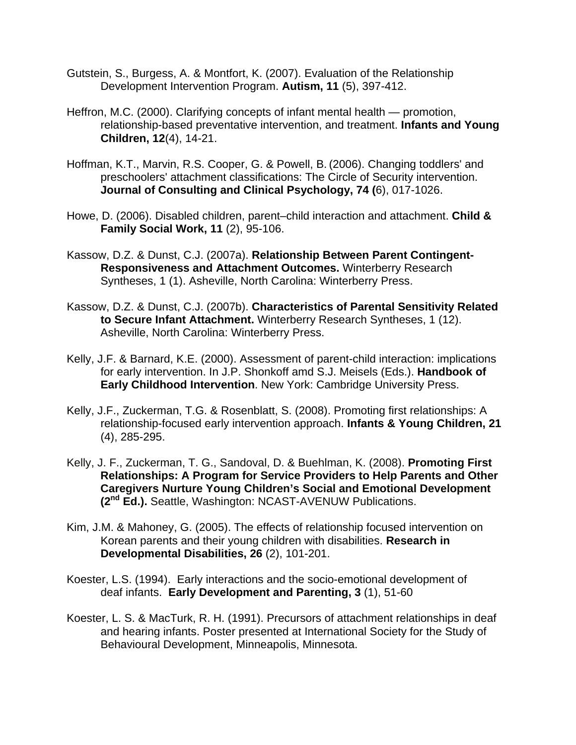- Gutstein, S., Burgess, A. & Montfort, K. (2007). Evaluation of the Relationship Development Intervention Program. **Autism, 11** (5), 397-412.
- Heffron, M.C. (2000). Clarifying concepts of infant mental health promotion, relationship-based preventative intervention, and treatment. **Infants and Young Children, 12**(4), 14-21.
- Hoffman, K.T., Marvin, R.S. Cooper, G. & Powell, B. (2006). Changing toddlers' and preschoolers' attachment classifications: The Circle of Security intervention. **Journal of Consulting and Clinical Psychology, 74 (**6), 017-1026.
- Howe, D. (2006). Disabled children, parent–child interaction and attachment. **Child & Family Social Work, 11** (2), 95-106.
- Kassow, D.Z. & Dunst, C.J. (2007a). **Relationship Between Parent Contingent-Responsiveness and Attachment Outcomes.** Winterberry Research Syntheses, 1 (1). Asheville, North Carolina: Winterberry Press.
- Kassow, D.Z. & Dunst, C.J. (2007b). **Characteristics of Parental Sensitivity Related to Secure Infant Attachment.** Winterberry Research Syntheses, 1 (12). Asheville, North Carolina: Winterberry Press.
- Kelly, J.F. & Barnard, K.E. (2000). Assessment of parent-child interaction: implications for early intervention. In J.P. Shonkoff amd S.J. Meisels (Eds.). **Handbook of Early Childhood Intervention**. New York: Cambridge University Press.
- Kelly, J.F., Zuckerman, T.G. & Rosenblatt, S. (2008). Promoting first relationships: A relationship-focused early intervention approach. **Infants & Young Children, 21** (4), 285-295.
- Kelly, J. F., Zuckerman, T. G., Sandoval, D. & Buehlman, K. (2008). **Promoting First Relationships: A Program for Service Providers to Help Parents and Other Caregivers Nurture Young Children's Social and Emotional Development (2nd Ed.).** Seattle, Washington: NCAST-AVENUW Publications.
- Kim, J.M. & Mahoney, G. (2005). The effects of relationship focused intervention on Korean parents and their young children with disabilities. **Research in Developmental Disabilities, 26** (2), 101-201.
- Koester, L.S. (1994). Early interactions and the socio-emotional development of deaf infants. **Early Development and Parenting, 3** (1), 51-60
- Koester, L. S. & MacTurk, R. H. (1991). Precursors of attachment relationships in deaf and hearing infants. Poster presented at International Society for the Study of Behavioural Development, Minneapolis, Minnesota.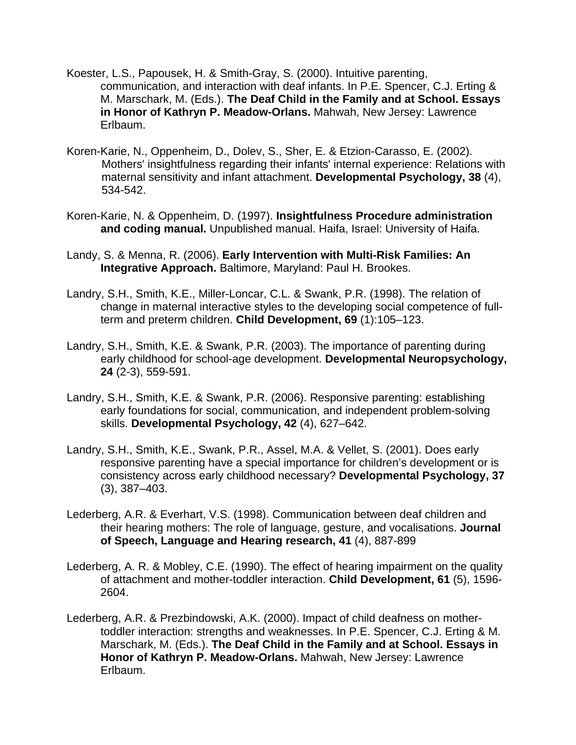- Koester, L.S., Papousek, H. & Smith-Gray, S. (2000). Intuitive parenting, communication, and interaction with deaf infants. In P.E. Spencer, C.J. Erting & M. Marschark, M. (Eds.). **The Deaf Child in the Family and at School. Essays in Honor of Kathryn P. Meadow-Orlans.** Mahwah, New Jersey: Lawrence Erlbaum.
- Koren-Karie, N., Oppenheim, D., Dolev, S., Sher, E. & Etzion-Carasso, E. (2002). Mothers' insightfulness regarding their infants' internal experience: Relations with maternal sensitivity and infant attachment. **Developmental Psychology, 38** (4), 534-542.
- Koren-Karie, N. & Oppenheim, D. (1997). **Insightfulness Procedure administration and coding manual.** Unpublished manual. Haifa, Israel: University of Haifa.
- Landy, S. & Menna, R. (2006). **Early Intervention with Multi-Risk Families: An Integrative Approach.** Baltimore, Maryland: Paul H. Brookes.
- Landry, S.H., Smith, K.E., Miller-Loncar, C.L. & Swank, P.R. (1998). The relation of change in maternal interactive styles to the developing social competence of fullterm and preterm children. **Child Development, 69** (1):105–123.
- Landry, S.H., Smith, K.E. & Swank, P.R. (2003). The importance of parenting during early childhood for school-age development. **Developmental Neuropsychology, 24** (2-3), 559-591.
- Landry, S.H., Smith, K.E. & Swank, P.R. (2006). Responsive parenting: establishing early foundations for social, communication, and independent problem-solving skills. **Developmental Psychology, 42** (4), 627–642.
- Landry, S.H., Smith, K.E., Swank, P.R., Assel, M.A. & Vellet, S. (2001). Does early responsive parenting have a special importance for children's development or is consistency across early childhood necessary? **Developmental Psychology, 37** (3), 387–403.
- Lederberg, A.R. & Everhart, V.S. (1998). Communication between deaf children and their hearing mothers: The role of language, gesture, and vocalisations. **Journal of Speech, Language and Hearing research, 41** (4), 887-899
- Lederberg, A. R. & Mobley, C.E. (1990). The effect of hearing impairment on the quality of attachment and mother-toddler interaction. **Child Development, 61** (5), 1596- 2604.
- Lederberg, A.R. & Prezbindowski, A.K. (2000). Impact of child deafness on mothertoddler interaction: strengths and weaknesses. In P.E. Spencer, C.J. Erting & M. Marschark, M. (Eds.). **The Deaf Child in the Family and at School. Essays in Honor of Kathryn P. Meadow-Orlans.** Mahwah, New Jersey: Lawrence Erlbaum.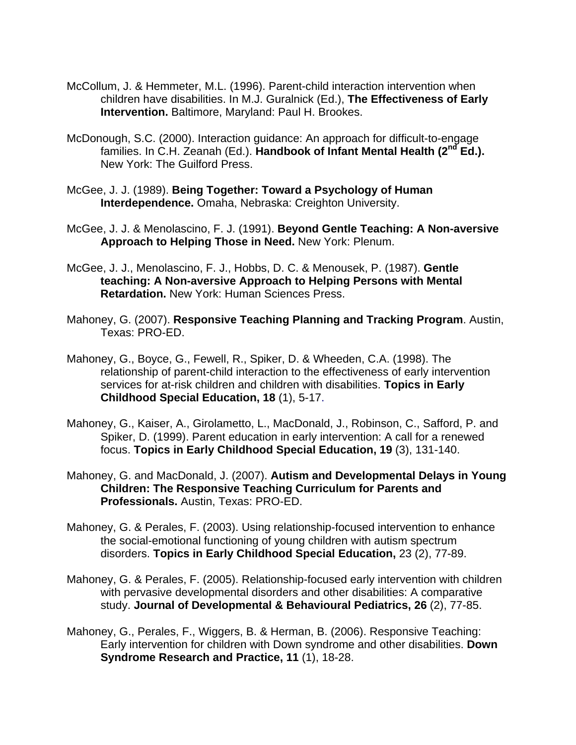- McCollum, J. & Hemmeter, M.L. (1996). Parent-child interaction intervention when children have disabilities. In M.J. Guralnick (Ed.), **The Effectiveness of Early Intervention.** Baltimore, Maryland: Paul H. Brookes.
- McDonough, S.C. (2000). Interaction guidance: An approach for difficult-to-engage families. In C.H. Zeanah (Ed.). **Handbook of Infant Mental Health (2nd Ed.).** New York: The Guilford Press.
- McGee, J. J. (1989). **Being Together: Toward a Psychology of Human Interdependence.** Omaha, Nebraska: Creighton University.
- McGee, J. J. & Menolascino, F. J. (1991). **Beyond Gentle Teaching: A Non-aversive Approach to Helping Those in Need.** New York: Plenum.
- McGee, J. J., Menolascino, F. J., Hobbs, D. C. & Menousek, P. (1987). **Gentle teaching: A Non-aversive Approach to Helping Persons with Mental Retardation.** New York: Human Sciences Press.
- Mahoney, G. (2007). **Responsive Teaching Planning and Tracking Program**. Austin, Texas: PRO-ED.
- Mahoney, G., Boyce, G., Fewell, R., Spiker, D. & Wheeden, C.A. (1998). The relationship of parent-child interaction to the effectiveness of early intervention services for at-risk children and children with disabilities. **Topics in Early Childhood Special Education, 18** (1), 5-17.
- Mahoney, G., Kaiser, A., Girolametto, L., MacDonald, J., Robinson, C., Safford, P. and Spiker, D. (1999). Parent education in early intervention: A call for a renewed focus. **Topics in Early Childhood Special Education, 19** (3), 131-140.
- Mahoney, G. and MacDonald, J. (2007). **Autism and Developmental Delays in Young Children: The Responsive Teaching Curriculum for Parents and Professionals.** Austin, Texas: PRO-ED.
- Mahoney, G. & Perales, F. (2003). Using relationship-focused intervention to enhance the social-emotional functioning of young children with autism spectrum disorders. **Topics in Early Childhood Special Education,** 23 (2), 77-89.
- Mahoney, G. & Perales, F. (2005). Relationship-focused early intervention with children with pervasive developmental disorders and other disabilities: A comparative study. **Journal of Developmental & Behavioural Pediatrics, 26** (2), 77-85.
- Mahoney, G., Perales, F., Wiggers, B. & Herman, B. (2006). Responsive Teaching: Early intervention for children with Down syndrome and other disabilities. **Down Syndrome Research and Practice, 11** (1), 18-28.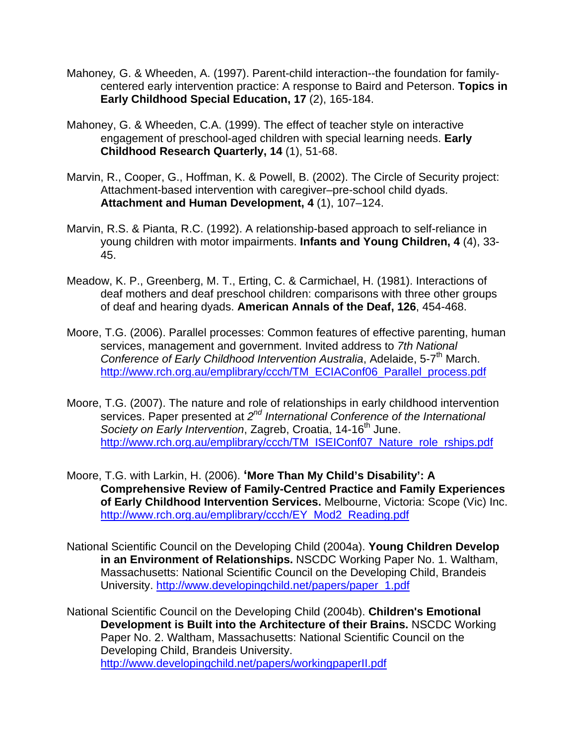- Mahoney*,* G. & Wheeden, A. (1997). Parent-child interaction--the foundation for familycentered early intervention practice: A response to Baird and Peterson. **Topics in Early Childhood Special Education, 17** (2), 165-184.
- Mahoney, G. & Wheeden, C.A. (1999). The effect of teacher style on interactive engagement of preschool-aged children with special learning needs. **Early Childhood Research Quarterly, 14** (1), 51-68.
- Marvin, R., Cooper, G., Hoffman, K. & Powell, B. (2002). The Circle of Security project: Attachment-based intervention with caregiver–pre-school child dyads. **Attachment and Human Development, 4** (1), 107–124.
- Marvin, R.S. & Pianta, R.C. (1992). A relationship-based approach to self-reliance in young children with motor impairments. **Infants and Young Children, 4** (4), 33- 45.
- Meadow, K. P., Greenberg, M. T., Erting, C. & Carmichael, H. (1981). Interactions of deaf mothers and deaf preschool children: comparisons with three other groups of deaf and hearing dyads. **American Annals of the Deaf, 126**, 454-468.
- Moore, T.G. (2006). Parallel processes: Common features of effective parenting, human services, management and government. Invited address to *7th National Conference of Early Childhood Intervention Australia, Adelaide, 5-7<sup>th</sup> March.* [http://www.rch.org.au/emplibrary/ccch/TM\\_ECIAConf06\\_Parallel\\_process.pdf](http://www.rch.org.au/emplibrary/ccch/TM_ECIAConf06_Parallel_process.pdf)
- Moore, T.G. (2007). The nature and role of relationships in early childhood intervention services. Paper presented at *2nd International Conference of the International Society on Early Intervention*, Zagreb, Croatia, 14-16<sup>th</sup> June. [http://www.rch.org.au/emplibrary/ccch/TM\\_ISEIConf07\\_Nature\\_role\\_rships.pdf](http://www.rch.org.au/emplibrary/ccch/TM_ISEIConf07_Nature_role_rships.pdf)
- Moore, T.G. with Larkin, H. (2006). **'More Than My Child's Disability': A Comprehensive Review of Family-Centred Practice and Family Experiences of Early Childhood Intervention Services.** Melbourne, Victoria: Scope (Vic) Inc. [http://www.rch.org.au/emplibrary/ccch/EY\\_Mod2\\_Reading.pdf](http://www.rch.org.au/emplibrary/ccch/EY_Mod2_Reading.pdf)
- National Scientific Council on the Developing Child (2004a). **Young Children Develop in an Environment of Relationships.** NSCDC Working Paper No. 1. Waltham, Massachusetts: National Scientific Council on the Developing Child, Brandeis University. [http://www.developingchild.net/papers/paper\\_1.pdf](http://www.developingchild.net/papers/paper_1.pdf)
- National Scientific Council on the Developing Child (2004b). **Children's Emotional Development is Built into the Architecture of their Brains.** NSCDC Working Paper No. 2. Waltham, Massachusetts: National Scientific Council on the Developing Child, Brandeis University. <http://www.developingchild.net/papers/workingpaperII.pdf>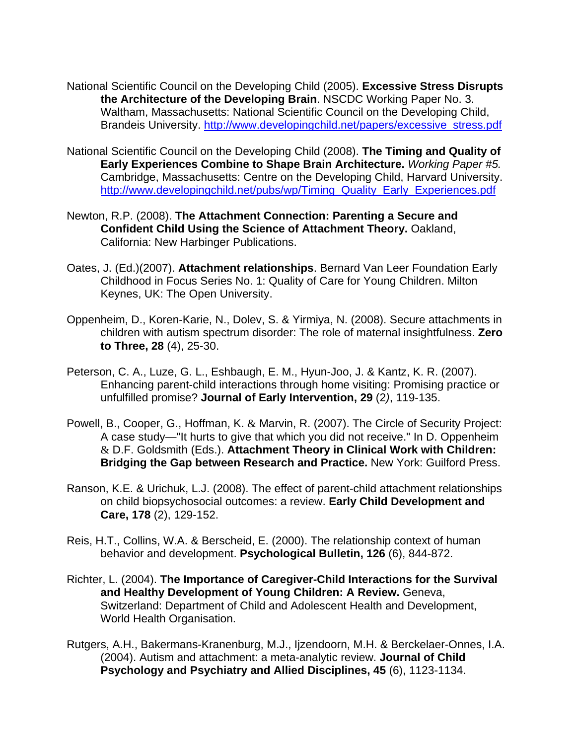- National Scientific Council on the Developing Child (2005). **Excessive Stress Disrupts the Architecture of the Developing Brain**. NSCDC Working Paper No. 3. Waltham, Massachusetts: National Scientific Council on the Developing Child, Brandeis University. [http://www.developingchild.net/papers/excessive\\_stress.pdf](http://www.developingchild.net/papers/excessive_stress.pdf)
- National Scientific Council on the Developing Child (2008). **The Timing and Quality of Early Experiences Combine to Shape Brain Architecture.** *Working Paper #5.* Cambridge, Massachusetts: Centre on the Developing Child, Harvard University. [http://www.developingchild.net/pubs/wp/Timing\\_Quality\\_Early\\_Experiences.pdf](http://www.developingchild.net/pubs/wp/Timing_Quality_Early_Experiences.pdf)
- Newton, R.P. (2008). **The Attachment Connection: Parenting a Secure and Confident Child Using the Science of Attachment Theory.** Oakland, California: New Harbinger Publications.
- Oates, J. (Ed.)(2007). **Attachment relationships**. Bernard Van Leer Foundation Early Childhood in Focus Series No. 1: Quality of Care for Young Children. Milton Keynes, UK: The Open University.
- Oppenheim, D., Koren-Karie, N., Dolev, S. & Yirmiya, N. (2008). Secure attachments in children with autism spectrum disorder: The role of maternal insightfulness. **Zero to Three, 28** (4), 25-30.
- Peterson, C. A., Luze, G. L., Eshbaugh, E. M., Hyun-Joo, J. & Kantz, K. R. (2007). Enhancing parent-child interactions through home visiting: Promising practice or unfulfilled promise? **Journal of Early Intervention, 29** (2*)*, 119-135.
- Powell, B., Cooper, G., Hoffman, K. & Marvin, R. (2007). The Circle of Security Project: A case study—"It hurts to give that which you did not receive." In D. Oppenheim & D.F. Goldsmith (Eds.). **Attachment Theory in Clinical Work with Children: Bridging the Gap between Research and Practice.** New York: Guilford Press.
- Ranson, K.E. & Urichuk, L.J. (2008). The effect of parent-child attachment relationships on child biopsychosocial outcomes: a review. **Early Child Development and Care, 178** (2), 129-152.
- Reis, H.T., Collins, W.A. & Berscheid, E. (2000). The relationship context of human behavior and development. **Psychological Bulletin, 126** (6), 844-872.
- Richter, L. (2004). **The Importance of Caregiver-Child Interactions for the Survival and Healthy Development of Young Children: A Review.** Geneva, Switzerland: Department of Child and Adolescent Health and Development, World Health Organisation.
- Rutgers, A.H., Bakermans-Kranenburg, M.J., Ijzendoorn, M.H. & Berckelaer-Onnes, I.A. (2004). Autism and attachment: a meta-analytic review. **Journal of Child Psychology and Psychiatry and Allied Disciplines, 45** (6), 1123-1134.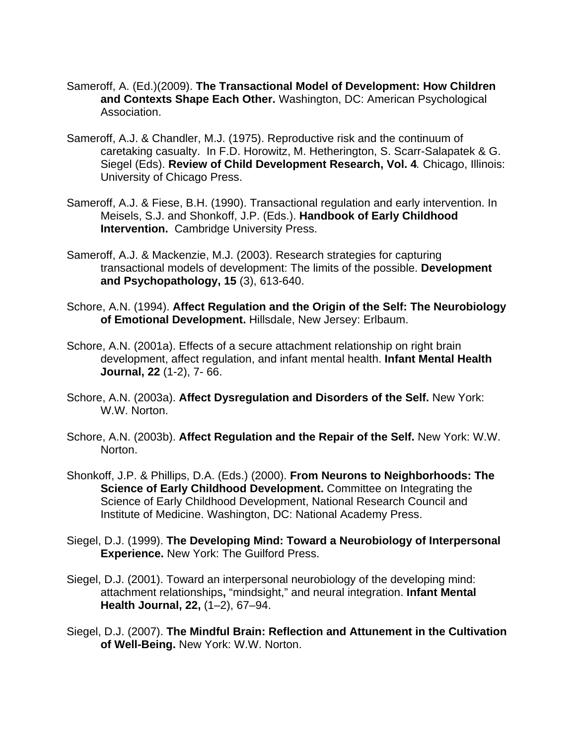- Sameroff, A. (Ed.)(2009). **The Transactional Model of Development: How Children and Contexts Shape Each Other.** Washington, DC: American Psychological Association.
- Sameroff, A.J. & Chandler, M.J. (1975). Reproductive risk and the continuum of caretaking casualty. In F.D. Horowitz, M. Hetherington, S. Scarr-Salapatek & G. Siegel (Eds). **Review of Child Development Research, Vol. 4***.* Chicago, Illinois: University of Chicago Press.
- Sameroff, A.J. & Fiese, B.H. (1990). Transactional regulation and early intervention. In Meisels, S.J. and Shonkoff, J.P. (Eds.). **Handbook of Early Childhood Intervention.** Cambridge University Press.
- Sameroff, A.J. & Mackenzie, M.J. (2003). Research strategies for capturing transactional models of development: The limits of the possible. **Development and Psychopathology, 15** (3), 613-640.
- Schore, A.N. (1994). **Affect Regulation and the Origin of the Self: The Neurobiology of Emotional Development.** Hillsdale, New Jersey: Erlbaum.
- Schore, A.N. (2001a). Effects of a secure attachment relationship on right brain development, affect regulation, and infant mental health. **Infant Mental Health Journal, 22** (1-2), 7- 66.
- Schore, A.N. (2003a). **Affect Dysregulation and Disorders of the Self.** New York: W.W. Norton.
- Schore, A.N. (2003b). **Affect Regulation and the Repair of the Self.** New York: W.W. Norton.
- Shonkoff, J.P. & Phillips, D.A. (Eds.) (2000). **From Neurons to Neighborhoods: The Science of Early Childhood Development.** Committee on Integrating the Science of Early Childhood Development, National Research Council and Institute of Medicine. Washington, DC: National Academy Press.
- Siegel, D.J. (1999). **The Developing Mind: Toward a Neurobiology of Interpersonal Experience.** New York: The Guilford Press.
- Siegel, D.J. (2001). Toward an interpersonal neurobiology of the developing mind: attachment relationships**,** "mindsight," and neural integration. **Infant Mental Health Journal, 22,** (1–2), 67–94.
- Siegel, D.J. (2007). **The Mindful Brain: Reflection and Attunement in the Cultivation of Well-Being.** New York: W.W. Norton.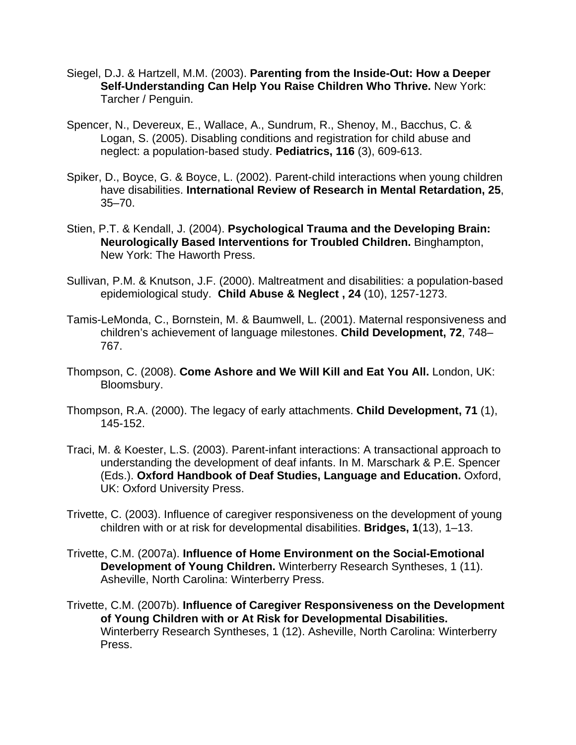- Siegel, D.J. & Hartzell, M.M. (2003). **Parenting from the Inside-Out: How a Deeper Self-Understanding Can Help You Raise Children Who Thrive.** New York: Tarcher / Penguin.
- Spencer, N., Devereux, E., Wallace, A., Sundrum, R., Shenoy, M., Bacchus, C. & Logan, S. (2005). Disabling conditions and registration for child abuse and neglect: a population-based study. **Pediatrics, 116** (3), 609-613.
- Spiker, D., Boyce, G. & Boyce, L. (2002). Parent-child interactions when young children have disabilities. **International Review of Research in Mental Retardation, 25**, 35–70.
- Stien, P.T. & Kendall, J. (2004). **Psychological Trauma and the Developing Brain: Neurologically Based Interventions for Troubled Children.** Binghampton, New York: The Haworth Press.
- Sullivan, P.M. & Knutson, J.F. (2000). Maltreatment and disabilities: a population-based epidemiological study. **Child Abuse & Neglect , 24** (10), 1257-1273.
- Tamis-LeMonda, C., Bornstein, M. & Baumwell, L. (2001). Maternal responsiveness and children's achievement of language milestones. **Child Development, 72**, 748– 767.
- Thompson, C. (2008). **Come Ashore and We Will Kill and Eat You All.** London, UK: Bloomsbury.
- Thompson, R.A. (2000). The legacy of early attachments. **Child Development, 71** (1), 145-152.
- Traci, M. & Koester, L.S. (2003). Parent-infant interactions: A transactional approach to understanding the development of deaf infants. In M. Marschark & P.E. Spencer (Eds.). **Oxford Handbook of Deaf Studies, Language and Education.** Oxford, UK: Oxford University Press.
- Trivette, C. (2003). Influence of caregiver responsiveness on the development of young children with or at risk for developmental disabilities. **Bridges, 1**(13), 1–13.
- Trivette, C.M. (2007a). **Influence of Home Environment on the Social-Emotional Development of Young Children.** Winterberry Research Syntheses, 1 (11). Asheville, North Carolina: Winterberry Press.
- Trivette, C.M. (2007b). **Influence of Caregiver Responsiveness on the Development of Young Children with or At Risk for Developmental Disabilities.** Winterberry Research Syntheses, 1 (12). Asheville, North Carolina: Winterberry Press.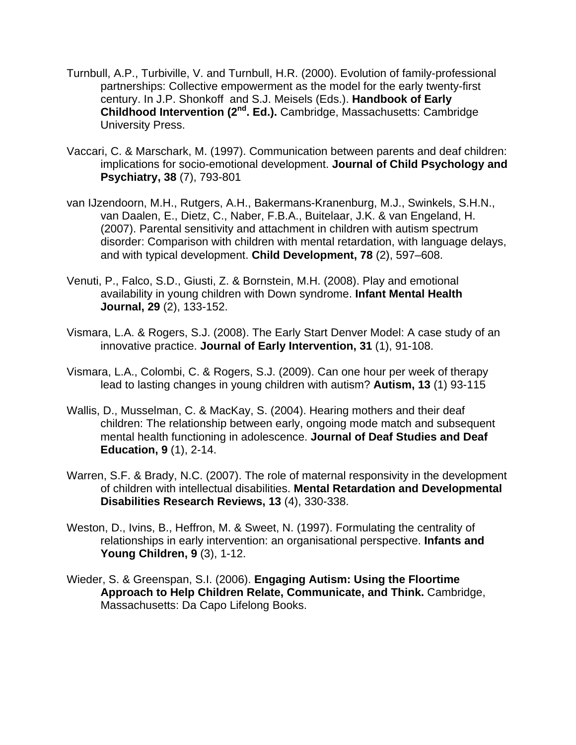- Turnbull, A.P., Turbiville, V. and Turnbull, H.R. (2000). Evolution of family-professional partnerships: Collective empowerment as the model for the early twenty-first century. In J.P. Shonkoff and S.J. Meisels (Eds.). **Handbook of Early Childhood Intervention (2nd. Ed.).** Cambridge, Massachusetts: Cambridge University Press.
- Vaccari, C. & Marschark, M. (1997). Communication between parents and deaf children: implications for socio-emotional development. **Journal of Child Psychology and Psychiatry, 38** (7), 793-801
- van IJzendoorn, M.H., Rutgers, A.H., Bakermans-Kranenburg, M.J., Swinkels, S.H.N., van Daalen, E., Dietz, C., Naber, F.B.A., Buitelaar, J.K. & van Engeland, H. (2007). Parental sensitivity and attachment in children with autism spectrum disorder: Comparison with children with mental retardation, with language delays, and with typical development. **Child Development, 78** (2), 597–608.
- Venuti, P., Falco, S.D., Giusti, Z. & Bornstein, M.H. (2008). Play and emotional availability in young children with Down syndrome. **Infant Mental Health Journal, 29** (2), 133-152.
- Vismara, L.A. & Rogers, S.J. (2008). The Early Start Denver Model: A case study of an innovative practice. **Journal of Early Intervention, 31** (1), 91-108.
- Vismara, L.A., Colombi, C. & Rogers, S.J. (2009). Can one hour per week of therapy lead to lasting changes in young children with autism? **Autism, 13** (1) 93-115
- Wallis, D., Musselman, C. & MacKay, S. (2004). Hearing mothers and their deaf children: The relationship between early, ongoing mode match and subsequent mental health functioning in adolescence. **Journal of Deaf Studies and Deaf Education, 9** (1), 2-14.
- Warren, S.F. & Brady, N.C. (2007). The role of maternal responsivity in the development of children with intellectual disabilities. **Mental Retardation and Developmental Disabilities Research Reviews, 13** (4), 330-338.
- Weston, D., Ivins, B., Heffron, M. & Sweet, N. (1997). Formulating the centrality of relationships in early intervention: an organisational perspective. **Infants and Young Children, 9** (3), 1-12.
- Wieder, S. & Greenspan, S.I. (2006). **Engaging Autism: Using the Floortime Approach to Help Children Relate, Communicate, and Think.** Cambridge, Massachusetts: Da Capo Lifelong Books.